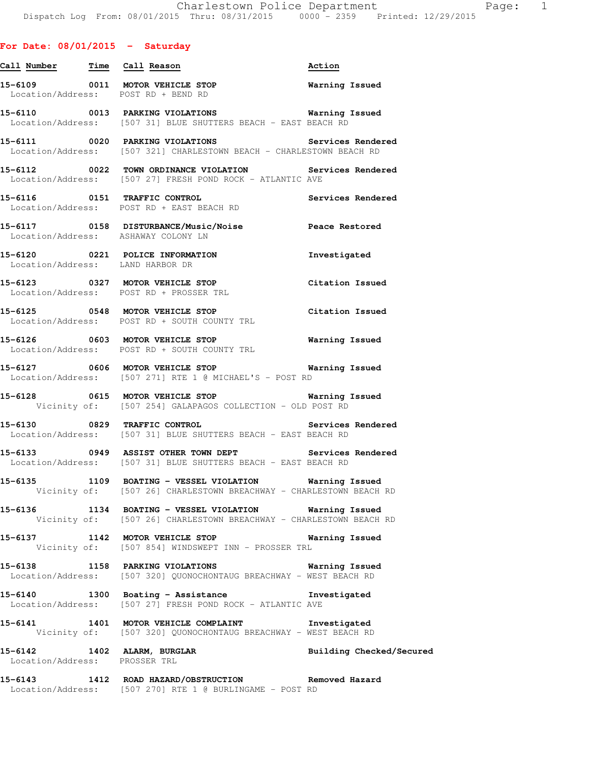|                               | Call Number Time Call Reason                                                                                                 | Action                   |
|-------------------------------|------------------------------------------------------------------------------------------------------------------------------|--------------------------|
|                               | 15-6109 0011 MOTOR VEHICLE STOP 60 Warning Issued<br>Location/Address: POST RD + BEND RD                                     |                          |
|                               | 15-6110 0013 PARKING VIOLATIONS Warning Issued<br>Location/Address: [507 31] BLUE SHUTTERS BEACH - EAST BEACH RD             |                          |
|                               | 15-6111 0020 PARKING VIOLATIONS Services Rendered<br>Location/Address: [507 321] CHARLESTOWN BEACH - CHARLESTOWN BEACH RD    |                          |
|                               | 15-6112 0022 TOWN ORDINANCE VIOLATION Services Rendered<br>Location/Address: [507 27] FRESH POND ROCK - ATLANTIC AVE         |                          |
|                               | 15-6116 0151 TRAFFIC CONTROL<br>Location/Address: POST RD + EAST BEACH RD                                                    | Services Rendered        |
|                               | 15-6117 0158 DISTURBANCE/Music/Noise Peace Restored<br>Location/Address: ASHAWAY COLONY LN                                   |                          |
|                               | 15-6120 0221 POLICE INFORMATION<br>Location/Address: LAND HARBOR DR                                                          | Investigated             |
|                               | 15-6123 0327 MOTOR VEHICLE STOP<br>Location/Address: POST RD + PROSSER TRL                                                   | Citation Issued          |
|                               | 15-6125 0548 MOTOR VEHICLE STOP<br>Location/Address: POST RD + SOUTH COUNTY TRL                                              | Citation Issued          |
|                               | 15-6126 0603 MOTOR VEHICLE STOP<br>Location/Address: POST RD + SOUTH COUNTY TRL                                              | <b>Warning Issued</b>    |
|                               | 15-6127 0606 MOTOR VEHICLE STOP 5 Warning Issued<br>Location/Address: [507 271] RTE 1 @ MICHAEL'S - POST RD                  |                          |
|                               | 15-6128 0615 MOTOR VEHICLE STOP 60 Warning Issued<br>Vicinity of: [507 254] GALAPAGOS COLLECTION - OLD POST RD               |                          |
|                               | 15-6130 0829 TRAFFIC CONTROL<br>Location/Address: [507 31] BLUE SHUTTERS BEACH - EAST BEACH RD                               | Services Rendered        |
|                               | 15-6133 0949 ASSIST OTHER TOWN DEPT Services Rendered Location/Address: [507 31] BLUE SHUTTERS BEACH - EAST BEACH RD         |                          |
|                               | 15-6135 1109 BOATING - VESSEL VIOLATION Warning Issued<br>Vicinity of: [507 26] CHARLESTOWN BREACHWAY - CHARLESTOWN BEACH RD |                          |
|                               | 15-6136 1134 BOATING - VESSEL VIOLATION Warning Issued<br>Vicinity of: [507 26] CHARLESTOWN BREACHWAY - CHARLESTOWN BEACH RD |                          |
|                               | 15-6137 1142 MOTOR VEHICLE STOP 60 Warning Issued<br>Vicinity of: [507 854] WINDSWEPT INN - PROSSER TRL                      |                          |
|                               | 15-6138 1158 PARKING VIOLATIONS Warning Issued<br>Location/Address: [507 320] QUONOCHONTAUG BREACHWAY - WEST BEACH RD        |                          |
|                               | 15-6140 1300 Boating - Assistance Montestigated<br>Location/Address: [507 27] FRESH POND ROCK - ATLANTIC AVE                 |                          |
|                               | 15-6141 1401 MOTOR VEHICLE COMPLAINT 1nvestigated<br>Vicinity of: [507 320] QUONOCHONTAUG BREACHWAY - WEST BEACH RD          |                          |
| Location/Address: PROSSER TRL | 15-6142 1402 ALARM, BURGLAR                                                                                                  | Building Checked/Secured |
|                               | 15-6143 1412 ROAD HAZARD/OBSTRUCTION Removed Hazard<br>Location/Address: [507 270] RTE 1 @ BURLINGAME - POST RD              |                          |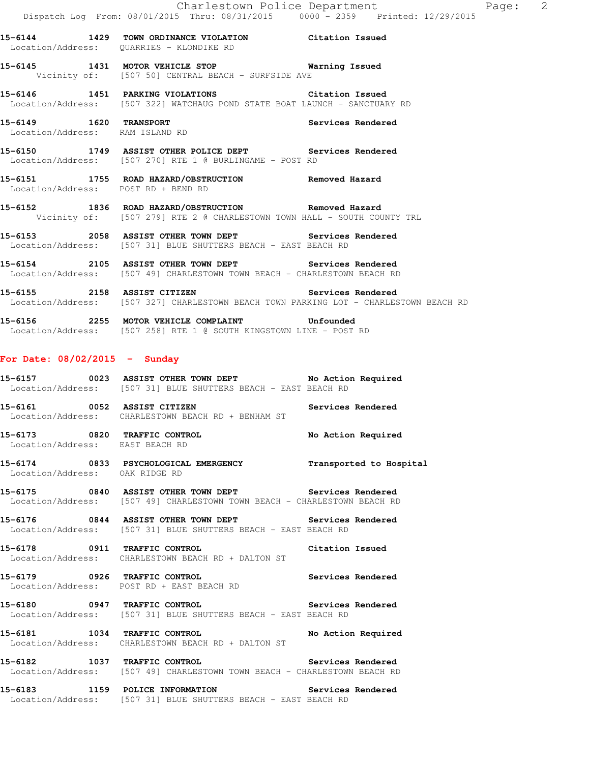**15-6144 1429 TOWN ORDINANCE VIOLATION Citation Issued**  Location/Address: QUARRIES - KLONDIKE RD **15-6145 1431 MOTOR VEHICLE STOP Warning Issued**  Vicinity of: [507 50] CENTRAL BEACH - SURFSIDE AVE **15-6146 1451 PARKING VIOLATIONS Citation Issued**  Location/Address: [507 322] WATCHAUG POND STATE BOAT LAUNCH - SANCTUARY RD **15-6149 1620 TRANSPORT Services Rendered**  Location/Address: RAM ISLAND RD

**15-6150 1749 ASSIST OTHER POLICE DEPT Services Rendered**  Location/Address: [507 270] RTE 1 @ BURLINGAME - POST RD

**15-6151 1755 ROAD HAZARD/OBSTRUCTION Removed Hazard**  Location/Address: POST RD + BEND RD

**15-6152 1836 ROAD HAZARD/OBSTRUCTION Removed Hazard**  Vicinity of: [507 279] RTE 2 @ CHARLESTOWN TOWN HALL - SOUTH COUNTY TRL

**15-6153 2058 ASSIST OTHER TOWN DEPT Services Rendered**  Location/Address: [507 31] BLUE SHUTTERS BEACH - EAST BEACH RD

**15-6154 2105 ASSIST OTHER TOWN DEPT Services Rendered**  Location/Address: [507 49] CHARLESTOWN TOWN BEACH - CHARLESTOWN BEACH RD

**15-6155 2158 ASSIST CITIZEN Services Rendered**  Location/Address: [507 327] CHARLESTOWN BEACH TOWN PARKING LOT - CHARLESTOWN BEACH RD

**15-6156 2255 MOTOR VEHICLE COMPLAINT Unfounded**  Location/Address: [507 258] RTE 1 @ SOUTH KINGSTOWN LINE - POST RD

#### **For Date: 08/02/2015 - Sunday**

**15-6157 0023 ASSIST OTHER TOWN DEPT No Action Required**  Location/Address: [507 31] BLUE SHUTTERS BEACH - EAST BEACH RD

**15-6161 0052 ASSIST CITIZEN Services Rendered**  Location/Address: CHARLESTOWN BEACH RD + BENHAM ST

**15-6173 0820 TRAFFIC CONTROL No Action Required**  Location/Address: EAST BEACH RD

**15-6174 0833 PSYCHOLOGICAL EMERGENCY Transported to Hospital**  Location/Address: OAK RIDGE RD

**15-6175 0840 ASSIST OTHER TOWN DEPT Services Rendered**  Location/Address: [507 49] CHARLESTOWN TOWN BEACH - CHARLESTOWN BEACH RD

**15-6176 0844 ASSIST OTHER TOWN DEPT Services Rendered**  Location/Address: [507 31] BLUE SHUTTERS BEACH - EAST BEACH RD

**15-6178 0911 TRAFFIC CONTROL Citation Issued**  Location/Address: CHARLESTOWN BEACH RD + DALTON ST

**15-6179 0926 TRAFFIC CONTROL Services Rendered**  Location/Address: POST RD + EAST BEACH RD

**15-6180 0947 TRAFFIC CONTROL Services Rendered**  Location/Address: [507 31] BLUE SHUTTERS BEACH - EAST BEACH RD

**15-6181 1034 TRAFFIC CONTROL No Action Required**  Location/Address: CHARLESTOWN BEACH RD + DALTON ST

**15-6182 1037 TRAFFIC CONTROL Services Rendered**  Location/Address: [507 49] CHARLESTOWN TOWN BEACH - CHARLESTOWN BEACH RD

**15-6183 1159 POLICE INFORMATION Services Rendered**  Location/Address: [507 31] BLUE SHUTTERS BEACH - EAST BEACH RD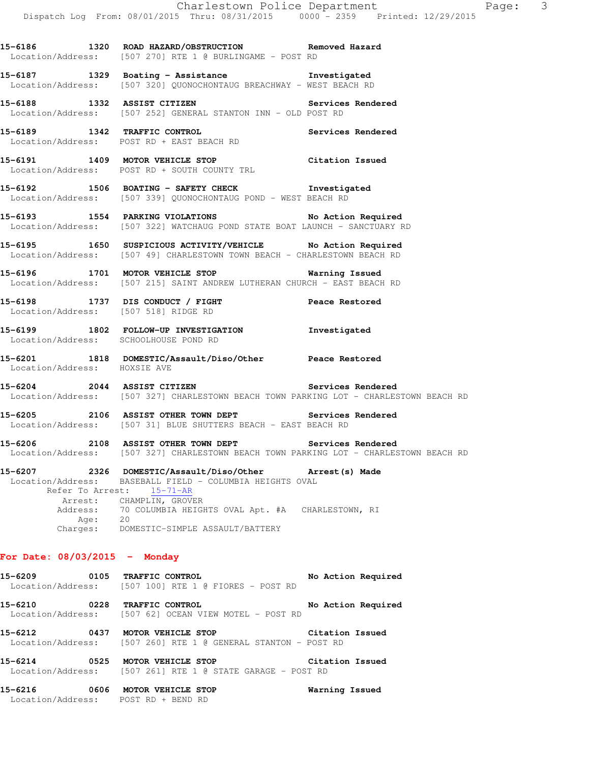**15-6186 1320 ROAD HAZARD/OBSTRUCTION Removed Hazard** 

 Location/Address: [507 270] RTE 1 @ BURLINGAME - POST RD **15-6187 1329 Boating - Assistance Investigated**  Location/Address: [507 320] QUONOCHONTAUG BREACHWAY - WEST BEACH RD **15-6188 1332 ASSIST CITIZEN Services Rendered**  Location/Address: [507 252] GENERAL STANTON INN - OLD POST RD **15-6189 1342 TRAFFIC CONTROL Services Rendered**  Location/Address: POST RD + EAST BEACH RD **15-6191 1409 MOTOR VEHICLE STOP Citation Issued**  Location/Address: POST RD + SOUTH COUNTY TRL **15-6192 1506 BOATING - SAFETY CHECK Investigated**  Location/Address: [507 339] QUONOCHONTAUG POND - WEST BEACH RD **15-6193 1554 PARKING VIOLATIONS No Action Required**  Location/Address: [507 322] WATCHAUG POND STATE BOAT LAUNCH - SANCTUARY RD **15-6195 1650 SUSPICIOUS ACTIVITY/VEHICLE No Action Required**  Location/Address: [507 49] CHARLESTOWN TOWN BEACH - CHARLESTOWN BEACH RD **15-6196 1701 MOTOR VEHICLE STOP Warning Issued**  Location/Address: [507 215] SAINT ANDREW LUTHERAN CHURCH - EAST BEACH RD **15-6198 1737 DIS CONDUCT / FIGHT Peace Restored**  Location/Address: [507 518] RIDGE RD **15-6199 1802 FOLLOW-UP INVESTIGATION Investigated**  Location/Address: SCHOOLHOUSE POND RD **15-6201 1818 DOMESTIC/Assault/Diso/Other Peace Restored**  Location/Address: HOXSIE AVE **15-6204 2044 ASSIST CITIZEN Services Rendered**  Location/Address: [507 327] CHARLESTOWN BEACH TOWN PARKING LOT - CHARLESTOWN BEACH RD **15-6205 2106 ASSIST OTHER TOWN DEPT Services Rendered**  Location/Address: [507 31] BLUE SHUTTERS BEACH - EAST BEACH RD **15-6206 2108 ASSIST OTHER TOWN DEPT Services Rendered**  Location/Address: [507 327] CHARLESTOWN BEACH TOWN PARKING LOT - CHARLESTOWN BEACH RD **15-6207 2326 DOMESTIC/Assault/Diso/Other Arrest(s) Made**  Location/Address: BASEBALL FIELD - COLUMBIA HEIGHTS OVAL Refer To Arrest: 15-71-AR Arrest: CHAMPLIN, GROVER<br>Address: 70 COLUMBIA HEIG 70 COLUMBIA HEIGHTS OVAL Apt. #A CHARLESTOWN, RI Age: 20 Charges: DOMESTIC-SIMPLE ASSAULT/BATTERY **For Date: 08/03/2015 - Monday 15-6209 0105 TRAFFIC CONTROL No Action Required** 

 Location/Address: [507 100] RTE 1 @ FIORES - POST RD **15-6210 0228 TRAFFIC CONTROL No Action Required**  Location/Address: [507 62] OCEAN VIEW MOTEL - POST RD **15-6212 0437 MOTOR VEHICLE STOP Citation Issued**  Location/Address: [507 260] RTE 1 @ GENERAL STANTON - POST RD

**15-6214 0525 MOTOR VEHICLE STOP Citation Issued**  Location/Address: [507 261] RTE 1 @ STATE GARAGE - POST RD

**15-6216 0606 MOTOR VEHICLE STOP Warning Issued**  Location/Address: POST RD + BEND RD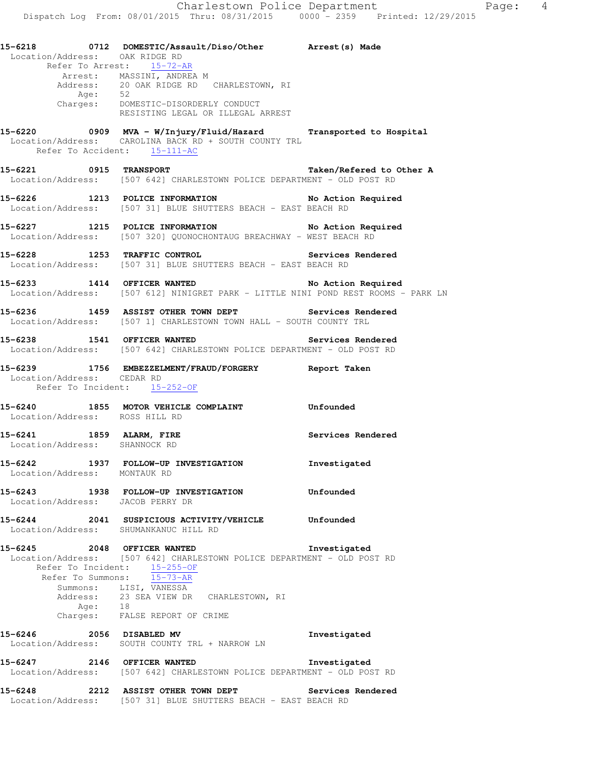|         |                            | 15-6218 		 0712 DOMESTIC/Assault/Diso/Other 		 Arrest(s) Made<br>Location/Address: OAK RIDGE RD                           |                   |
|---------|----------------------------|---------------------------------------------------------------------------------------------------------------------------|-------------------|
|         |                            | Refer To Arrest: 15-72-AR                                                                                                 |                   |
|         |                            | Arrest: MASSINI, ANDREA M<br>Address: 20 OAK RIDGE RD CHARLESTOWN, RI                                                     |                   |
|         |                            |                                                                                                                           |                   |
|         |                            |                                                                                                                           |                   |
|         |                            | Age: 52<br>Charges: DOMESTIC-DISORDERLY CONDUCT<br>RESISTING LEGAL OR ILLEGAL ARREST                                      |                   |
|         |                            |                                                                                                                           |                   |
|         |                            | 15-6220 0909 MVA - W/Injury/Fluid/Hazard Transported to Hospital<br>Location/Address: CAROLINA BACK RD + SOUTH COUNTY TRL |                   |
|         |                            | Refer To Accident: 15-111-AC                                                                                              |                   |
|         |                            |                                                                                                                           |                   |
|         |                            | 15-6221 0915 TRANSPORT 15-6221                                                                                            |                   |
|         |                            | Location/Address: [507 642] CHARLESTOWN POLICE DEPARTMENT - OLD POST RD                                                   |                   |
|         |                            | 15-6226 1213 POLICE INFORMATION No Action Required                                                                        |                   |
|         |                            | Location/Address: [507 31] BLUE SHUTTERS BEACH - EAST BEACH RD                                                            |                   |
|         |                            |                                                                                                                           |                   |
|         |                            | 15-6227 1215 POLICE INFORMATION No Action Required<br>Location/Address: [507 320] QUONOCHONTAUG BREACHWAY - WEST BEACH RD |                   |
|         |                            |                                                                                                                           |                   |
|         |                            | 15-6228 1253 TRAFFIC CONTROL <b>1258</b> Services Rendered                                                                |                   |
|         |                            | Location/Address: [507 31] BLUE SHUTTERS BEACH - EAST BEACH RD                                                            |                   |
|         |                            |                                                                                                                           |                   |
|         |                            | 15-6233 1414 OFFICER WANTED No Action Required                                                                            |                   |
|         |                            | Location/Address: [507 612] NINIGRET PARK - LITTLE NINI POND REST ROOMS - PARK LN                                         |                   |
|         |                            | 15-6236 1459 ASSIST OTHER TOWN DEPT Services Rendered                                                                     |                   |
|         |                            | Location/Address: [507 1] CHARLESTOWN TOWN HALL - SOUTH COUNTY TRL                                                        |                   |
|         |                            |                                                                                                                           |                   |
|         |                            | 15-6238 1541 OFFICER WANTED Services Rendered                                                                             |                   |
|         |                            | Location/Address: [507 642] CHARLESTOWN POLICE DEPARTMENT - OLD POST RD                                                   |                   |
|         |                            | 15-6239 1756 EMBEZZELMENT/FRAUD/FORGERY Report Taken                                                                      |                   |
|         | Location/Address: CEDAR RD |                                                                                                                           |                   |
|         |                            | Refer To Incident: 15-252-OF                                                                                              |                   |
|         |                            | 15-6240 1855 MOTOR VEHICLE COMPLAINT Confounded                                                                           |                   |
|         |                            | Location/Address: ROSS HILL RD                                                                                            |                   |
|         |                            |                                                                                                                           |                   |
|         |                            | 15-6241 1859 ALARM, FIRE                                                                                                  | Services Rendered |
|         |                            | Location/Address: SHANNOCK RD                                                                                             |                   |
|         |                            | 15-6242 1937 FOLLOW-UP INVESTIGATION Investigated                                                                         |                   |
|         |                            | Location/Address: MONTAUK RD                                                                                              |                   |
|         |                            |                                                                                                                           |                   |
| 15-6243 |                            | 1938 FOLLOW-UP INVESTIGATION                                                                                              | Unfounded         |
|         |                            | Location/Address: JACOB PERRY DR                                                                                          |                   |
| 15-6244 |                            | 2041 SUSPICIOUS ACTIVITY/VEHICLE                                                                                          | Unfounded         |
|         |                            | Location/Address: SHUMANKANUC HILL RD                                                                                     |                   |
|         |                            |                                                                                                                           |                   |
|         |                            | 15-6245 2048 OFFICER WANTED<br>Location/Address: [507 642] CHARLESTOWN POLICE DEPARTMENT - OLD POST RD                    | Investigated      |
|         | Refer To Incident:         | $15 - 255 - 0F$                                                                                                           |                   |
|         | Refer To Summons:          | $15 - 73 - AR$                                                                                                            |                   |
|         |                            | Summons: LISI, VANESSA                                                                                                    |                   |
|         |                            | Address: 23 SEA VIEW DR CHARLESTOWN, RI                                                                                   |                   |
|         | Age:                       | 18<br>Charges: FALSE REPORT OF CRIME                                                                                      |                   |
|         |                            |                                                                                                                           |                   |
| 15-6246 |                            | 2056 DISABLED MV                                                                                                          | Investigated      |

Location/Address: SOUTH COUNTY TRL + NARROW LN

**15-6247 2146 OFFICER WANTED Investigated**  Location/Address: [507 642] CHARLESTOWN POLICE DEPARTMENT - OLD POST RD

**15-6248 2212 ASSIST OTHER TOWN DEPT Services Rendered**  Location/Address: [507 31] BLUE SHUTTERS BEACH - EAST BEACH RD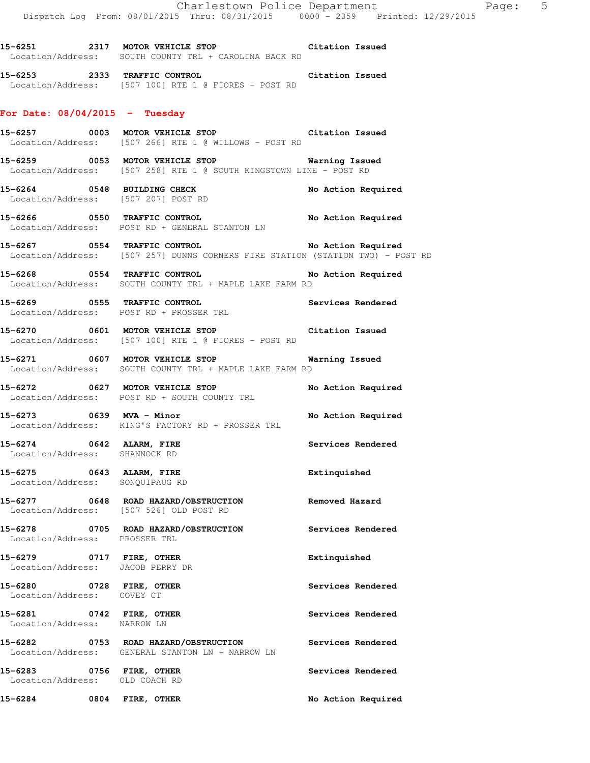**15-6251 2317 MOTOR VEHICLE STOP Citation Issued**  Location/Address: SOUTH COUNTY TRL + CAROLINA BACK RD

**15-6253 2333 TRAFFIC CONTROL Citation Issued**  Location/Address: [507 100] RTE 1 @ FIORES - POST RD

#### **For Date: 08/04/2015 - Tuesday**

**15-6257 0003 MOTOR VEHICLE STOP Citation Issued**  Location/Address: [507 266] RTE 1 @ WILLOWS - POST RD

**15-6259 0053 MOTOR VEHICLE STOP Warning Issued**  Location/Address: [507 258] RTE 1 @ SOUTH KINGSTOWN LINE - POST RD

**15-6264 0548 BUILDING CHECK No Action Required**  Location/Address: [507 207] POST RD

**15-6266 0550 TRAFFIC CONTROL No Action Required**  Location/Address: POST RD + GENERAL STANTON LN

**15-6267 0554 TRAFFIC CONTROL No Action Required**  Location/Address: [507 257] DUNNS CORNERS FIRE STATION (STATION TWO) - POST RD

**15-6268 0554 TRAFFIC CONTROL No Action Required**  Location/Address: SOUTH COUNTY TRL + MAPLE LAKE FARM RD

**15-6269 0555 TRAFFIC CONTROL Services Rendered**  Location/Address: POST RD + PROSSER TRL

**15-6270 0601 MOTOR VEHICLE STOP Citation Issued**  Location/Address: [507 100] RTE 1 @ FIORES - POST RD

**15-6271 0607 MOTOR VEHICLE STOP Warning Issued**  Location/Address: SOUTH COUNTY TRL + MAPLE LAKE FARM RD

**15-6272 0627 MOTOR VEHICLE STOP No Action Required**  Location/Address: POST RD + SOUTH COUNTY TRL

**15-6273 0639 MVA - Minor No Action Required**  Location/Address: KING'S FACTORY RD + PROSSER TRL

Location/Address: SHANNOCK RD

**15-6275 0643 ALARM, FIRE Extinquished**  Location/Address: SONQUIPAUG RD

**15-6277 0648 ROAD HAZARD/OBSTRUCTION Removed Hazard**  Location/Address: [507 526] OLD POST RD

**15-6278 0705 ROAD HAZARD/OBSTRUCTION Services Rendered**  Location/Address: PROSSER TRL

**15-6279 0717 FIRE, OTHER Extinquished**  Location/Address: JACOB PERRY DR

15-6280 **0728 FIRE, OTHER 15-6280 Services Rendered** Location/Address: COVEY CT

**15-6281 0742 FIRE, OTHER Services Rendered**  Location/Address: NARROW LN

**15-6282 0753 ROAD HAZARD/OBSTRUCTION Services Rendered** 

Location/Address: OLD COACH RD

Location/Address: GENERAL STANTON LN + NARROW LN

**15-6284 0804 FIRE, OTHER No Action Required** 

15-6274 0642 ALARM, FIRE **Services Rendered** 

**15-6283 0756 FIRE, OTHER Services Rendered**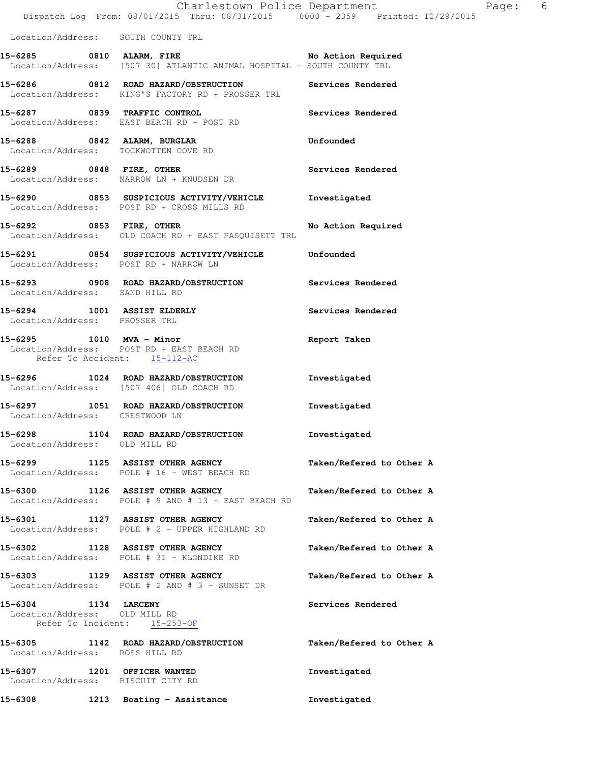|                                    | 15-6291 0854 SUSPICIOUS ACTIVITY/VEHICLE<br>Location/Address: POST RD + NARROW LN                                     | Unfounded          |       |   |
|------------------------------------|-----------------------------------------------------------------------------------------------------------------------|--------------------|-------|---|
|                                    | 15-6292 0853 FIRE, OTHER<br>Location/Address: OLD COACH RD + EAST PASQUISETT TRL                                      | No Action Required |       |   |
|                                    | 15-6290 0853 SUSPICIOUS ACTIVITY/VEHICLE<br>Location/Address: POST RD + CROSS MILLS RD                                | Investigated       |       |   |
|                                    | 15-6289 0848 FIRE, OTHER<br>Location/Address: NARROW LN + KNUDSEN DR                                                  | Services Rendered  |       |   |
|                                    | 15-6288 0842 ALARM, BURGLAR<br>Location/Address: TOCKWOTTEN COVE RD                                                   | Unfounded          |       |   |
|                                    | 15-6287 0839 TRAFFIC CONTROL<br>Location/Address: EAST BEACH RD + POST RD                                             | Services Rendered  |       |   |
|                                    | 15-6286 0812 ROAD HAZARD/OBSTRUCTION<br>Location/Address: KING'S FACTORY RD + PROSSER TRL                             | Services Rendered  |       |   |
|                                    | 15-6285 0810 ALARM, FIRE No Action Required<br>Location/Address: [507 30] ATLANTIC ANIMAL HOSPITAL - SOUTH COUNTY TRL |                    |       |   |
| Location/Address: SOUTH COUNTY TRL |                                                                                                                       |                    |       |   |
|                                    | Dispatch Log From: 08/01/2015 Thru: 08/31/2015 0000 - 2359 Printed: 12/29/2015                                        |                    |       |   |
|                                    | Charlestown Police Department                                                                                         |                    | Page: | 6 |

**15-6294 1001 ASSIST ELDERLY Services Rendered**  Location/Address: PROSSER TRL

Location/Address: SAND HILL RD

**15-6295 1010 MVA - Minor Report Taken**  Location/Address: POST RD + EAST BEACH RD Refer To Accident: 15-112-AC

**15-6296 1024 ROAD HAZARD/OBSTRUCTION Investigated**  Location/Address: [507 406] OLD COACH RD

**15-6297 1051 ROAD HAZARD/OBSTRUCTION Investigated**  Location/Address: CRESTWOOD LN

**15-6298 1104 ROAD HAZARD/OBSTRUCTION Investigated**  Location/Address: OLD MILL RD

**15-6299 1125 ASSIST OTHER AGENCY Taken/Refered to Other A**  Location/Address: POLE # 16 - WEST BEACH RD

**15-6300 1126 ASSIST OTHER AGENCY Taken/Refered to Other A**  Location/Address: POLE # 9 AND # 13 - EAST BEACH RD

**15-6301 1127 ASSIST OTHER AGENCY Taken/Refered to Other A**  Location/Address: POLE # 2 - UPPER HIGHLAND RD

**15-6302 1128 ASSIST OTHER AGENCY Taken/Refered to Other A**  Location/Address: POLE # 31 - KLONDIKE RD

**15-6303 1129 ASSIST OTHER AGENCY Taken/Refered to Other A**  Location/Address: POLE # 2 AND # 3 - SUNSET DR

**15-6304 1134 LARCENY Services Rendered**  Location/Address: OLD MILL RD Refer To Incident: 15-253-OF

**15-6305 1142 ROAD HAZARD/OBSTRUCTION Taken/Refered to Other A**  Location/Address: ROSS HILL RD **15-6307 1201 OFFICER WANTED Investigated**  Location/Address: BISCUIT CITY RD **15-6308 1213 Boating - Assistance Investigated**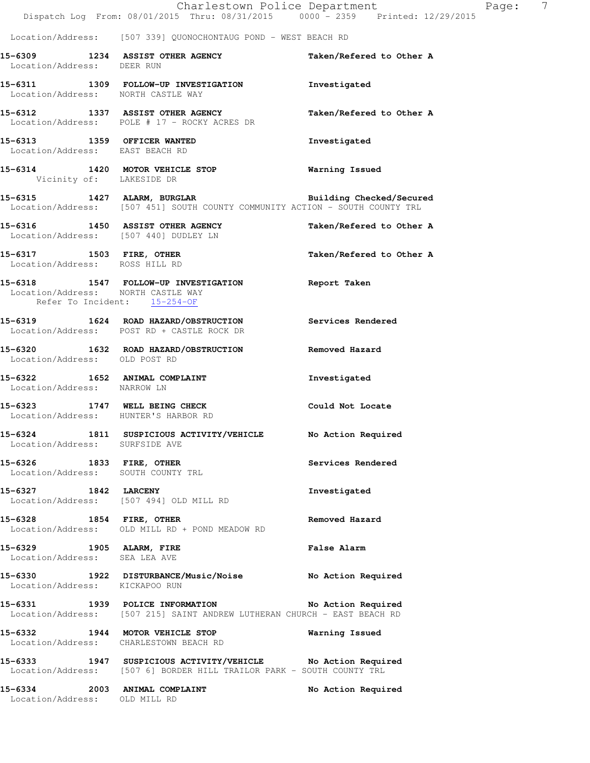|                                                                       | Dispatch Log From: 08/01/2015 Thru: 08/31/2015 0000 <sup>-</sup> 2359 Printed: 12/29/2015                                            | Charlestown Police Department | $\overline{7}$<br>Page: |
|-----------------------------------------------------------------------|--------------------------------------------------------------------------------------------------------------------------------------|-------------------------------|-------------------------|
|                                                                       | Location/Address: [507 339] QUONOCHONTAUG POND - WEST BEACH RD                                                                       |                               |                         |
| Location/Address: DEER RUN                                            | 15-6309 1234 ASSIST OTHER AGENCY                                                                                                     | Taken/Refered to Other A      |                         |
| Location/Address: NORTH CASTLE WAY                                    | 15-6311 1309 FOLLOW-UP INVESTIGATION                                                                                                 | Investigated                  |                         |
|                                                                       | 15-6312 1337 ASSIST OTHER AGENCY<br>Location/Address: POLE # 17 - ROCKY ACRES DR                                                     | Taken/Refered to Other A      |                         |
| 15-6313 1359 OFFICER WANTED<br>Location/Address: EAST BEACH RD        |                                                                                                                                      | Investigated                  |                         |
| Vicinity of: LAKESIDE DR                                              | 15-6314 1420 MOTOR VEHICLE STOP                                                                                                      | Warning Issued                |                         |
|                                                                       | 15-6315 1427 ALARM, BURGLAR<br>Location/Address: [507 451] SOUTH COUNTY COMMUNITY ACTION - SOUTH COUNTY TRL                          | Building Checked/Secured      |                         |
| Location/Address: [507 440] DUDLEY LN                                 | 15-6316 1450 ASSIST OTHER AGENCY                                                                                                     | Taken/Refered to Other A      |                         |
| Location/Address: ROSS HILL RD                                        | 15-6317 1503 FIRE, OTHER                                                                                                             | Taken/Refered to Other A      |                         |
| Location/Address: NORTH CASTLE WAY                                    | 15-6318 1547 FOLLOW-UP INVESTIGATION Report Taken<br>Refer To Incident: 15-254-OF                                                    |                               |                         |
|                                                                       | 15-6319 1624 ROAD HAZARD/OBSTRUCTION<br>Location/Address: POST RD + CASTLE ROCK DR                                                   | Services Rendered             |                         |
| Location/Address: OLD POST RD                                         | 15-6320 1632 ROAD HAZARD/OBSTRUCTION                                                                                                 | Removed Hazard                |                         |
| 15-6322 1652 ANIMAL COMPLAINT<br>Location/Address: NARROW LN          |                                                                                                                                      | Investigated                  |                         |
| 15-6323 1747 WELL BEING CHECK<br>Location/Address: HUNTER'S HARBOR RD |                                                                                                                                      | Could Not Locate              |                         |
| Location/Address: SURFSIDE AVE                                        | 15-6324 1811 SUSPICIOUS ACTIVITY/VEHICLE No Action Required                                                                          |                               |                         |
| 15-6326 1833 FIRE, OTHER<br>Location/Address: SOUTH COUNTY TRL        |                                                                                                                                      | Services Rendered             |                         |
| 15-6327 1842 LARCENY                                                  | Location/Address: [507 494] OLD MILL RD                                                                                              | Investigated                  |                         |
| 15-6328 1854 FIRE, OTHER                                              | Location/Address: OLD MILL RD + POND MEADOW RD                                                                                       | Removed Hazard                |                         |
| 15-6329 1905 ALARM, FIRE<br>Location/Address: SEA LEA AVE             |                                                                                                                                      | <b>False Alarm</b>            |                         |
| Location/Address: KICKAPOO RUN                                        | 15-6330 1922 DISTURBANCE/Music/Noise No Action Required                                                                              |                               |                         |
|                                                                       | 15-6331 1939 POLICE INFORMATION No Action Required<br>Location/Address: [507 215] SAINT ANDREW LUTHERAN CHURCH - EAST BEACH RD       |                               |                         |
|                                                                       | 15-6332 1944 MOTOR VEHICLE STOP<br>Location/Address: CHARLESTOWN BEACH RD                                                            | Warning Issued                |                         |
|                                                                       | 15-6333 1947 SUSPICIOUS ACTIVITY/VEHICLE No Action Required<br>Location/Address: [507 6] BORDER HILL TRAILOR PARK - SOUTH COUNTY TRL |                               |                         |
| 15-6334<br>Location/Address: OLD MILL RD                              | 2003 ANIMAL COMPLAINT                                                                                                                | No Action Required            |                         |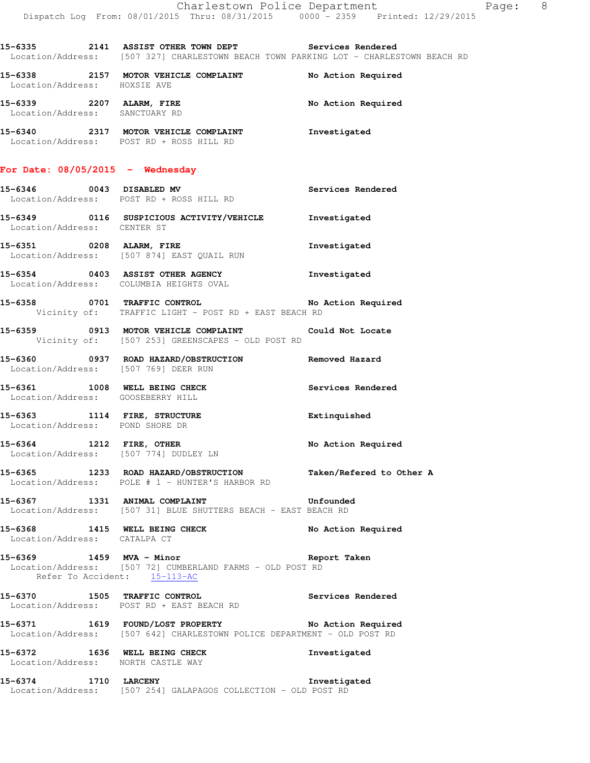**15-6335 2141 ASSIST OTHER TOWN DEPT Services Rendered**  Location/Address: [507 327] CHARLESTOWN BEACH TOWN PARKING LOT - CHARLESTOWN BEACH RD

**15-6338 2157 MOTOR VEHICLE COMPLAINT No Action Required**  Location/Address: HOXSIE AVE **15-6339 2207 ALARM, FIRE No Action Required**  Location/Address: SANCTUARY RD

**15-6340 2317 MOTOR VEHICLE COMPLAINT Investigated**  Location/Address: POST RD + ROSS HILL RD

## **For Date: 08/05/2015 - Wednesday**

Location/Address: [507 874] EAST QUAIL RUN

**15-6346 0043 DISABLED MV Services Rendered**  Location/Address: POST RD + ROSS HILL RD **15-6349 0116 SUSPICIOUS ACTIVITY/VEHICLE Investigated** 

 Location/Address: CENTER ST **15-6351 0208 ALARM, FIRE Investigated** 

**15-6354 0403 ASSIST OTHER AGENCY Investigated**  Location/Address: COLUMBIA HEIGHTS OVAL

**15-6358 0701 TRAFFIC CONTROL No Action Required**  Vicinity of: TRAFFIC LIGHT - POST RD + EAST BEACH RD

**15-6359 0913 MOTOR VEHICLE COMPLAINT Could Not Locate**  Vicinity of: [507 253] GREENSCAPES - OLD POST RD

**15-6360 0937 ROAD HAZARD/OBSTRUCTION Removed Hazard**  Location/Address: [507 769] DEER RUN

**15-6361 1008 WELL BEING CHECK Services Rendered**  Location/Address: GOOSEBERRY HILL

**15-6363 1114 FIRE, STRUCTURE Extinquished**  Location/Address: POND SHORE DR

**15-6364 1212 FIRE, OTHER No Action Required**  Location/Address: [507 774] DUDLEY LN

**15-6365 1233 ROAD HAZARD/OBSTRUCTION Taken/Refered to Other A**  Location/Address: POLE # 1 - HUNTER'S HARBOR RD

**15-6367 1331 ANIMAL COMPLAINT Unfounded**  Location/Address: [507 31] BLUE SHUTTERS BEACH - EAST BEACH RD

15-6368 1415 WELL BEING CHECK No Action Required Location/Address: CATALPA CT

**15-6369 1459 MVA - Minor Report Taken**  Location/Address: [507 72] CUMBERLAND FARMS - OLD POST RD Refer To Accident: 15-113-AC

**15-6370 1505 TRAFFIC CONTROL Services Rendered**  Location/Address: POST RD + EAST BEACH RD

**15-6371 1619 FOUND/LOST PROPERTY No Action Required**  Location/Address: [507 642] CHARLESTOWN POLICE DEPARTMENT - OLD POST RD

**15-6372 1636 WELL BEING CHECK Investigated**  Location/Address: NORTH CASTLE WAY

**15-6374 1710 LARCENY Investigated**  Location/Address: [507 254] GALAPAGOS COLLECTION - OLD POST RD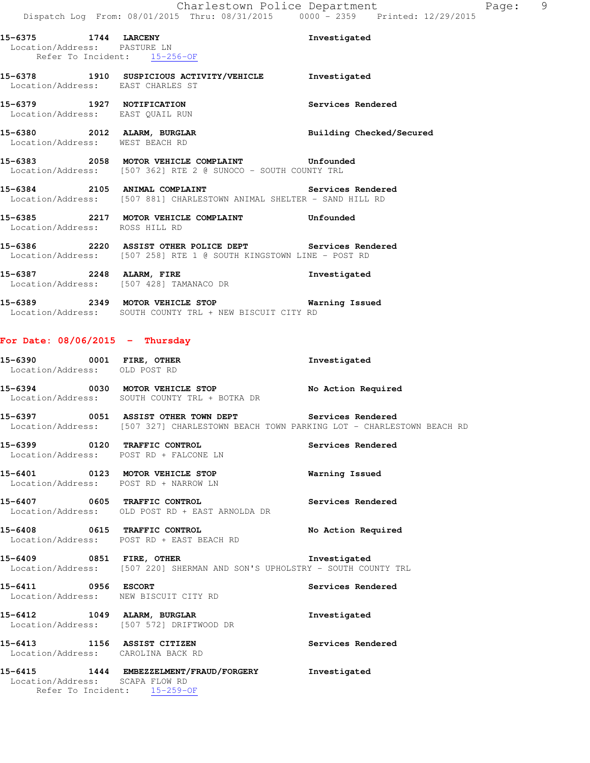**15-6375 1744 LARCENY Investigated**  Location/Address: PASTURE LN Refer To Incident: 15-256-OF **15-6378 1910 SUSPICIOUS ACTIVITY/VEHICLE Investigated**  Location/Address: EAST CHARLES ST **15-6379 1927 NOTIFICATION Services Rendered**  Location/Address: EAST QUAIL RUN 15-6380 2012 ALARM, BURGLAR **Building Checked/Secured**  Location/Address: WEST BEACH RD **15-6383 2058 MOTOR VEHICLE COMPLAINT Unfounded**  Location/Address: [507 362] RTE 2 @ SUNOCO - SOUTH COUNTY TRL 15-6384 2105 ANIMAL COMPLAINT **15-6384** Services Rendered Location/Address: [507 881] CHARLESTOWN ANIMAL SHELTER - SAND HILL RD **15-6385 2217 MOTOR VEHICLE COMPLAINT Unfounded**  Location/Address: ROSS HILL RD **15-6386 2220 ASSIST OTHER POLICE DEPT Services Rendered**  Location/Address: [507 258] RTE 1 @ SOUTH KINGSTOWN LINE - POST RD **15-6387 2248 ALARM, FIRE Investigated**  Location/Address: [507 428] TAMANACO DR **15-6389 2349 MOTOR VEHICLE STOP Warning Issued**  Location/Address: SOUTH COUNTY TRL + NEW BISCUIT CITY RD **For Date: 08/06/2015 - Thursday 15-6390 0001 FIRE, OTHER Investigated**  Location/Address: OLD POST RD **15-6394 0030 MOTOR VEHICLE STOP No Action Required**  Location/Address: SOUTH COUNTY TRL + BOTKA DR 15-6397 **0051 ASSIST OTHER TOWN DEPT** Services Rendered Location/Address: [507 327] CHARLESTOWN BEACH TOWN PARKING LOT - CHARLESTOWN BEACH RD **15-6399 0120 TRAFFIC CONTROL Services Rendered**  Location/Address: POST RD + FALCONE LN **15-6401 0123 MOTOR VEHICLE STOP Warning Issued**  Location/Address: POST RD + NARROW LN **15-6407 0605 TRAFFIC CONTROL Services Rendered**  Location/Address: OLD POST RD + EAST ARNOLDA DR **15-6408 0615 TRAFFIC CONTROL No Action Required**  Location/Address: POST RD + EAST BEACH RD **15-6409 0851 FIRE, OTHER Investigated**  Location/Address: [507 220] SHERMAN AND SON'S UPHOLSTRY - SOUTH COUNTY TRL **15-6411 0956 ESCORT Services Rendered**  Location/Address: NEW BISCUIT CITY RD **15-6412 1049 ALARM, BURGLAR Investigated**  Location/Address: [507 572] DRIFTWOOD DR **15-6413 1156 ASSIST CITIZEN Services Rendered**  Location/Address: CAROLINA BACK RD **15-6415 1444 EMBEZZELMENT/FRAUD/FORGERY Investigated**  Location/Address: SCAPA FLOW RD Refer To Incident: 15-259-OF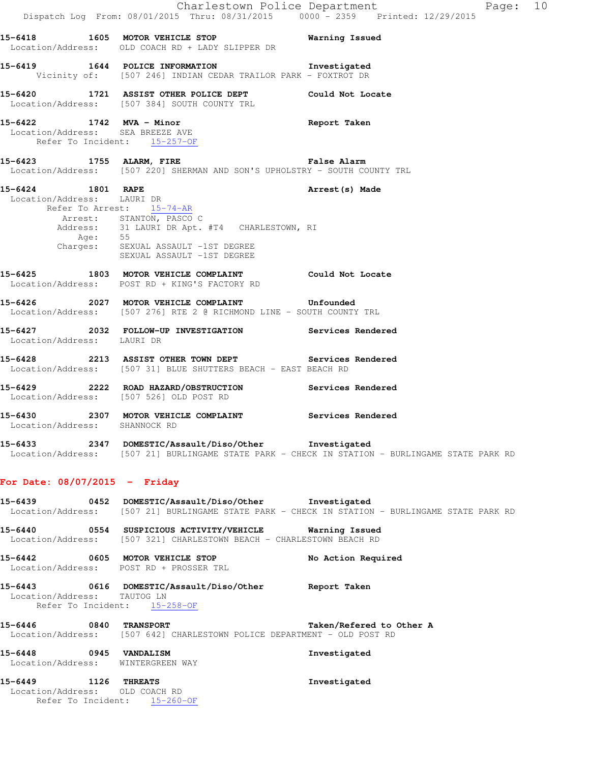|                                                                  |                                                                                                                                        | Charlestown Police Department<br>Page: 10                                                      |
|------------------------------------------------------------------|----------------------------------------------------------------------------------------------------------------------------------------|------------------------------------------------------------------------------------------------|
|                                                                  | Dispatch Log From: 08/01/2015 Thru: 08/31/2015 0000 - 2359 Printed: 12/29/2015                                                         |                                                                                                |
|                                                                  | 15-6418 1605 MOTOR VEHICLE STOP 5 Warning Issued<br>Location/Address: OLD COACH RD + LADY SLIPPER DR                                   |                                                                                                |
|                                                                  | 15-6419 1644 POLICE INFORMATION 1nvestigated<br>Vicinity of: [507 246] INDIAN CEDAR TRAILOR PARK - FOXTROT DR                          |                                                                                                |
|                                                                  | 15-6420 1721 ASSIST OTHER POLICE DEPT Could Not Locate<br>Location/Address: [507 384] SOUTH COUNTY TRL                                 |                                                                                                |
| Location/Address: SEA BREEZE AVE<br>Refer To Incident: 15-257-OF | 15-6422 1742 MVA - Minor                                                                                                               | Report Taken                                                                                   |
|                                                                  | 15-6423 1755 ALARM, FIRE <b>Example 2018</b> False Alarm<br>Location/Address: [507 220] SHERMAN AND SON'S UPHOLSTRY - SOUTH COUNTY TRL |                                                                                                |
| 15-6424 1801 RAPE<br>Location/Address: LAURI DR                  | Refer To Arrest: 15-74-AR                                                                                                              | Arrest (s) Made                                                                                |
|                                                                  | Arrest: STANTON, PASCO C<br>Address: 31 LAURI DR Apt. #T4 CHARLESTOWN, RI<br>Age: 55<br>Charges: SEXUAL ASSAULT -1ST DEGREE            |                                                                                                |
|                                                                  | SEXUAL ASSAULT -1ST DEGREE<br>15-6425 1803 MOTOR VEHICLE COMPLAINT Could Not Locate<br>Location/Address: POST RD + KING'S FACTORY RD   |                                                                                                |
|                                                                  | 15-6426 2027 MOTOR VEHICLE COMPLAINT Unfounded<br>Location/Address: [507 276] RTE 2 @ RICHMOND LINE - SOUTH COUNTY TRL                 |                                                                                                |
| Location/Address: LAURI DR                                       | 15-6427 2032 FOLLOW-UP INVESTIGATION Services Rendered                                                                                 |                                                                                                |
|                                                                  | 15-6428 2213 ASSIST OTHER TOWN DEPT Services Rendered<br>Location/Address: [507 31] BLUE SHUTTERS BEACH - EAST BEACH RD                |                                                                                                |
|                                                                  | 15-6429 2222 ROAD HAZARD/OBSTRUCTION<br>Location/Address: [507 526] OLD POST RD                                                        | Services Rendered                                                                              |
| Location/Address: SHANNOCK RD                                    | 15-6430 			 2307 MOTOR VEHICLE COMPLAINT 				 Services Rendered                                                                        |                                                                                                |
|                                                                  | 15-6433 2347 DOMESTIC/Assault/Diso/Other Investigated                                                                                  | Location/Address: [507 21] BURLINGAME STATE PARK - CHECK IN STATION - BURLINGAME STATE PARK RD |
| For Date: $08/07/2015$ - Friday                                  |                                                                                                                                        |                                                                                                |
|                                                                  | 15-6439 0452 DOMESTIC/Assault/Diso/Other Investigated                                                                                  | Location/Address: [507 21] BURLINGAME STATE PARK - CHECK IN STATION - BURLINGAME STATE PARK RD |
|                                                                  | 15-6440   0554   SUSPICIOUS ACTIVITY/VEHICLE   Warning Issued<br>Location/Address: [507 321] CHARLESTOWN BEACH - CHARLESTOWN BEACH RD  |                                                                                                |
|                                                                  | 15-6442 0605 MOTOR VEHICLE STOP<br>Location/Address: POST RD + PROSSER TRL                                                             | No Action Required                                                                             |
| Location/Address: TAUTOG LN<br>Refer To Incident: 15-258-OF      | 15-6443 0616 DOMESTIC/Assault/Diso/Other Report Taken                                                                                  |                                                                                                |
| 15-6446 0840 TRANSPORT                                           | Location/Address: [507 642] CHARLESTOWN POLICE DEPARTMENT - OLD POST RD                                                                | Taken/Refered to Other A                                                                       |
| 15-6448 0945 VANDALISM<br>Location/Address: WINTERGREEN WAY      |                                                                                                                                        | Investigated                                                                                   |
| 15-6449 1126 THREATS<br>Location/Address: OLD COACH RD           | Refer To Incident: 15-260-OF                                                                                                           | Investigated                                                                                   |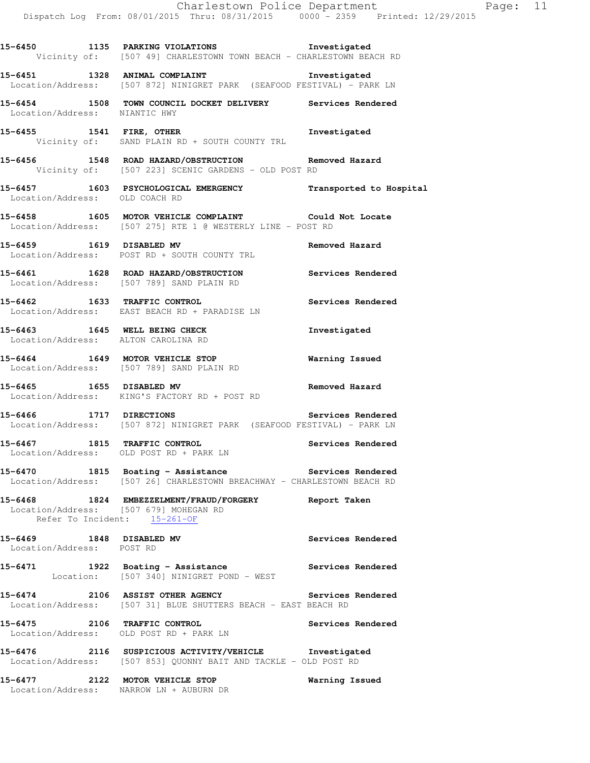**15-6451 1328 ANIMAL COMPLAINT Investigated**  Location/Address: [507 872] NINIGRET PARK (SEAFOOD FESTIVAL) - PARK LN

**15-6454 1508 TOWN COUNCIL DOCKET DELIVERY Services Rendered**  Location/Address: NIANTIC HWY

**15-6455 1541 FIRE, OTHER Investigated**  Vicinity of: SAND PLAIN RD + SOUTH COUNTY TRL

**15-6456 1548 ROAD HAZARD/OBSTRUCTION Removed Hazard**  Vicinity of: [507 223] SCENIC GARDENS - OLD POST RD

**15-6457 1603 PSYCHOLOGICAL EMERGENCY Transported to Hospital**  Location/Address: OLD COACH RD

**15-6458 1605 MOTOR VEHICLE COMPLAINT Could Not Locate**  Location/Address: [507 275] RTE 1 @ WESTERLY LINE - POST RD

**15-6459 1619 DISABLED MV Removed Hazard**  Location/Address: POST RD + SOUTH COUNTY TRL

**15-6461 1628 ROAD HAZARD/OBSTRUCTION Services Rendered**  Location/Address: [507 789] SAND PLAIN RD

**15-6462 1633 TRAFFIC CONTROL Services Rendered**  Location/Address: EAST BEACH RD + PARADISE LN

**15-6463 1645 WELL BEING CHECK Investigated**  Location/Address: ALTON CAROLINA RD

**15-6464 1649 MOTOR VEHICLE STOP Warning Issued**  Location/Address: [507 789] SAND PLAIN RD

**15-6465 1655 DISABLED MV Removed Hazard**  Location/Address: KING'S FACTORY RD + POST RD

**15-6466 1717 DIRECTIONS Services Rendered**  Location/Address: [507 872] NINIGRET PARK (SEAFOOD FESTIVAL) - PARK LN

**15-6467 1815 TRAFFIC CONTROL Services Rendered**  Location/Address: OLD POST RD + PARK LN

**15-6470 1815 Boating - Assistance Services Rendered**  Location/Address: [507 26] CHARLESTOWN BREACHWAY - CHARLESTOWN BEACH RD

**15-6468 1824 EMBEZZELMENT/FRAUD/FORGERY Report Taken**  Location/Address: [507 679] MOHEGAN RD Refer To Incident: 15-261-OF

**15-6469 1848 DISABLED MV Services Rendered**  Location/Address: POST RD

15-6471 1922 Boating - Assistance **Services Rendered** Location: [507 340] NINIGRET POND - WEST

**15-6474 2106 ASSIST OTHER AGENCY Services Rendered**  Location/Address: [507 31] BLUE SHUTTERS BEACH - EAST BEACH RD

**15-6475 2106 TRAFFIC CONTROL Services Rendered**  Location/Address: OLD POST RD + PARK LN

**15-6476 2116 SUSPICIOUS ACTIVITY/VEHICLE Investigated**  Location/Address: [507 853] QUONNY BAIT AND TACKLE - OLD POST RD

**15-6477 2122 MOTOR VEHICLE STOP Warning Issued**  Location/Address: NARROW LN + AUBURN DR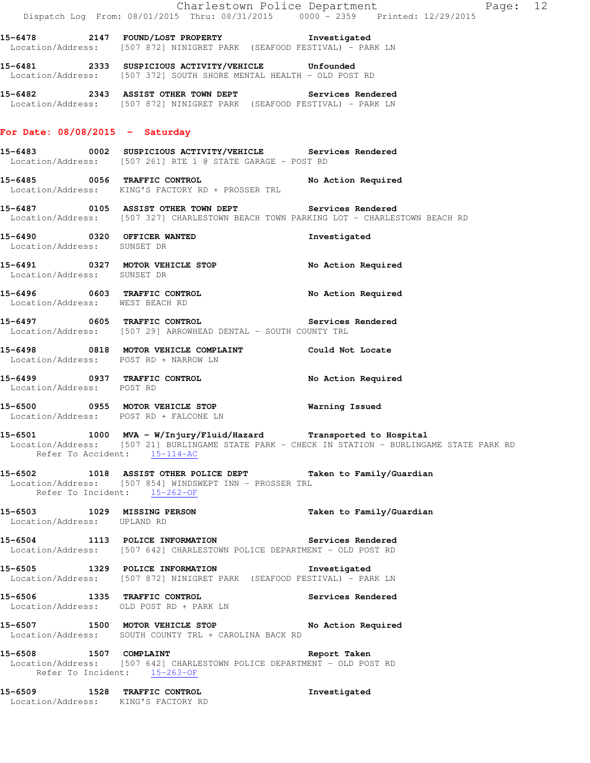|                                                                     | Dispatch Log From: 08/01/2015 Thru: 08/31/2015 0000 - 2359 Printed: 12/29/2015                                                                                                 | Charlestown Police Department Page: 12                                                         |
|---------------------------------------------------------------------|--------------------------------------------------------------------------------------------------------------------------------------------------------------------------------|------------------------------------------------------------------------------------------------|
|                                                                     | 15-6478  2147  FOUND/LOST PROPERTY    STATE of the strategies of the set of the set of the set of th<br>Location/Address: [507 872] NINIGRET PARK (SEAFOOD FESTIVAL) - PARK LN |                                                                                                |
|                                                                     | 15-6481 2333 SUSPICIOUS ACTIVITY/VEHICLE Unfounded<br>Location/Address: [507 372] SOUTH SHORE MENTAL HEALTH - OLD POST RD                                                      |                                                                                                |
|                                                                     | 15-6482 2343 ASSIST OTHER TOWN DEPT Services Rendered<br>Location/Address: [507 872] NINIGRET PARK (SEAFOOD FESTIVAL) - PARK LN                                                |                                                                                                |
| For Date: $08/08/2015$ - Saturday                                   |                                                                                                                                                                                |                                                                                                |
|                                                                     | 15-6483  0002  SUSPICIOUS ACTIVITY/VEHICLE  Services Rendered<br>Location/Address: [507 261] RTE 1 @ STATE GARAGE - POST RD                                                    |                                                                                                |
|                                                                     | 15-6485 0056 TRAFFIC CONTROL No Action Required<br>Location/Address: KING'S FACTORY RD + PROSSER TRL                                                                           |                                                                                                |
|                                                                     | 15-6487 6105 ASSIST OTHER TOWN DEPT Services Rendered<br>Location/Address: [507 327] CHARLESTOWN BEACH TOWN PARKING LOT - CHARLESTOWN BEACH RD                                 |                                                                                                |
| 15-6490 0320 OFFICER WANTED<br>Location/Address: SUNSET DR          |                                                                                                                                                                                | Investigated                                                                                   |
| Location/Address: SUNSET DR                                         | 15-6491 0327 MOTOR VEHICLE STOP                                                                                                                                                | No Action Required                                                                             |
| Location/Address: WEST BEACH RD                                     | 15-6496 0603 TRAFFIC CONTROL                                                                                                                                                   | No Action Required                                                                             |
|                                                                     | 15-6497 0605 TRAFFIC CONTROL 2000 Services Rendered<br>Location/Address: [507 29] ARROWHEAD DENTAL - SOUTH COUNTY TRL                                                          |                                                                                                |
| Location/Address: POST RD + NARROW LN                               | 15-6498 0818 MOTOR VEHICLE COMPLAINT Could Not Locate                                                                                                                          |                                                                                                |
| Location/Address: POST RD                                           | 15-6499 0937 TRAFFIC CONTROL                                                                                                                                                   | No Action Required                                                                             |
| Location/Address: POST RD + FALCONE LN                              | 15-6500 0955 MOTOR VEHICLE STOP                                                                                                                                                | Warning Issued                                                                                 |
| Refer To Accident: 15-114-AC                                        | 15-6501 1000 MVA - W/Injury/Fluid/Hazard Transported to Hospital                                                                                                               | Location/Address: [507 21] BURLINGAME STATE PARK - CHECK IN STATION - BURLINGAME STATE PARK RD |
| Refer To Incident: 15-262-OF                                        | 15-6502 1018 ASSIST OTHER POLICE DEPT Taken to Family/Guardian<br>Location/Address: [507 854] WINDSWEPT INN - PROSSER TRL                                                      |                                                                                                |
| Location/Address: UPLAND RD                                         | 15-6503 1029 MISSING PERSON                                                                                                                                                    | Taken to Family/Guardian                                                                       |
|                                                                     | 15-6504 1113 POLICE INFORMATION 5ervices Rendered<br>Location/Address: [507 642] CHARLESTOWN POLICE DEPARTMENT - OLD POST RD                                                   |                                                                                                |
|                                                                     | 15-6505 1329 POLICE INFORMATION<br>Location/Address: [507 872] NINIGRET PARK (SEAFOOD FESTIVAL) - PARK LN                                                                      | Investigated                                                                                   |
|                                                                     | 15-6506 1335 TRAFFIC CONTROL<br>Location/Address: OLD POST RD + PARK LN                                                                                                        | Services Rendered                                                                              |
|                                                                     | 15-6507 1500 MOTOR VEHICLE STOP<br>Location/Address: SOUTH COUNTY TRL + CAROLINA BACK RD                                                                                       | No Action Required                                                                             |
| Refer To Incident: 15-263-OF                                        | 15-6508 1507 COMPLAINT<br>Location/Address: [507 642] CHARLESTOWN POLICE DEPARTMENT - OLD POST RD                                                                              | Report Taken                                                                                   |
| 15-6509 1528 TRAFFIC CONTROL<br>Location/Address: KING'S FACTORY RD |                                                                                                                                                                                | Investigated                                                                                   |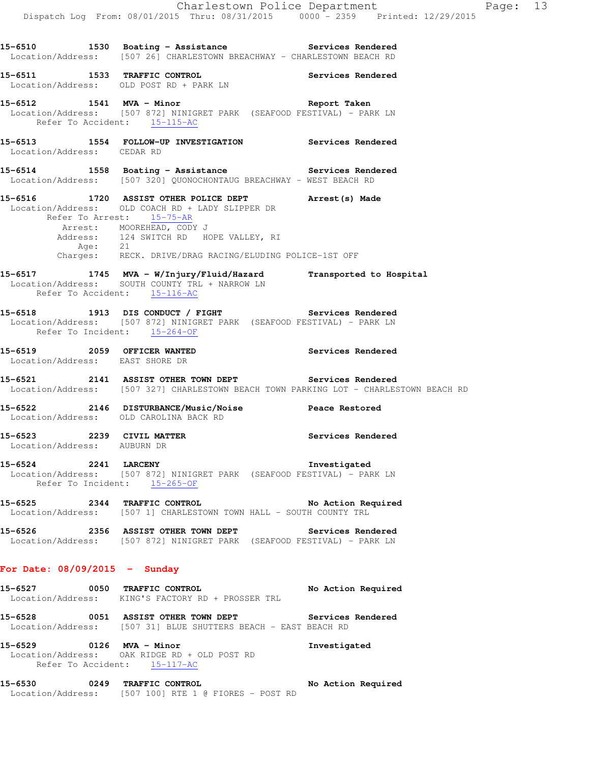15-6510 1530 Boating - Assistance **Services Rendered** Location/Address: [507 26] CHARLESTOWN BREACHWAY - CHARLESTOWN BEACH RD **15-6511 1533 TRAFFIC CONTROL Services Rendered**  Location/Address: OLD POST RD + PARK LN **15-6512 1541 MVA - Minor Report Taken**  Location/Address: [507 872] NINIGRET PARK (SEAFOOD FESTIVAL) - PARK LN Refer To Accident: 15-115-AC **15-6513 1554 FOLLOW-UP INVESTIGATION Services Rendered**  Location/Address: CEDAR RD 15-6514 1558 Boating - Assistance **Services Rendered**  Location/Address: [507 320] QUONOCHONTAUG BREACHWAY - WEST BEACH RD **15-6516 1720 ASSIST OTHER POLICE DEPT Arrest(s) Made**  Location/Address: OLD COACH RD + LADY SLIPPER DR Refer To Arrest: 15-75-AR Arrest: MOOREHEAD, CODY J Address: 124 SWITCH RD HOPE VALLEY, RI Age: 21 Charges: RECK. DRIVE/DRAG RACING/ELUDING POLICE-1ST OFF **15-6517 1745 MVA - W/Injury/Fluid/Hazard Transported to Hospital**  Location/Address: SOUTH COUNTY TRL + NARROW LN Refer To Accident: 15-116-AC 15-6518 1913 DIS CONDUCT / FIGHT **Services Rendered**  Location/Address: [507 872] NINIGRET PARK (SEAFOOD FESTIVAL) - PARK LN Refer To Incident: 15-264-OF **15-6519 2059 OFFICER WANTED Services Rendered**  Location/Address: EAST SHORE DR **15-6521 2141 ASSIST OTHER TOWN DEPT Services Rendered**  Location/Address: [507 327] CHARLESTOWN BEACH TOWN PARKING LOT - CHARLESTOWN BEACH RD **15-6522 2146 DISTURBANCE/Music/Noise Peace Restored**  Location/Address: OLD CAROLINA BACK RD **15-6523 2239 CIVIL MATTER Services Rendered**  Location/Address: AUBURN DR **15-6524 2241 LARCENY Investigated**  Location/Address: [507 872] NINIGRET PARK (SEAFOOD FESTIVAL) - PARK LN Refer To Incident: 15-265-OF **15-6525 2344 TRAFFIC CONTROL No Action Required**  Location/Address: [507 1] CHARLESTOWN TOWN HALL - SOUTH COUNTY TRL **15-6526 2356 ASSIST OTHER TOWN DEPT Services Rendered**  Location/Address: [507 872] NINIGRET PARK (SEAFOOD FESTIVAL) - PARK LN **For Date: 08/09/2015 - Sunday 15-6527 0050 TRAFFIC CONTROL No Action Required**  Location/Address: KING'S FACTORY RD + PROSSER TRL **15-6528 0051 ASSIST OTHER TOWN DEPT Services Rendered**  Location/Address: [507 31] BLUE SHUTTERS BEACH - EAST BEACH RD **15-6529 0126 MVA - Minor Investigated**  Location/Address: OAK RIDGE RD + OLD POST RD Refer To Accident: 15-117-AC **15-6530 0249 TRAFFIC CONTROL No Action Required**  Location/Address: [507 100] RTE 1 @ FIORES - POST RD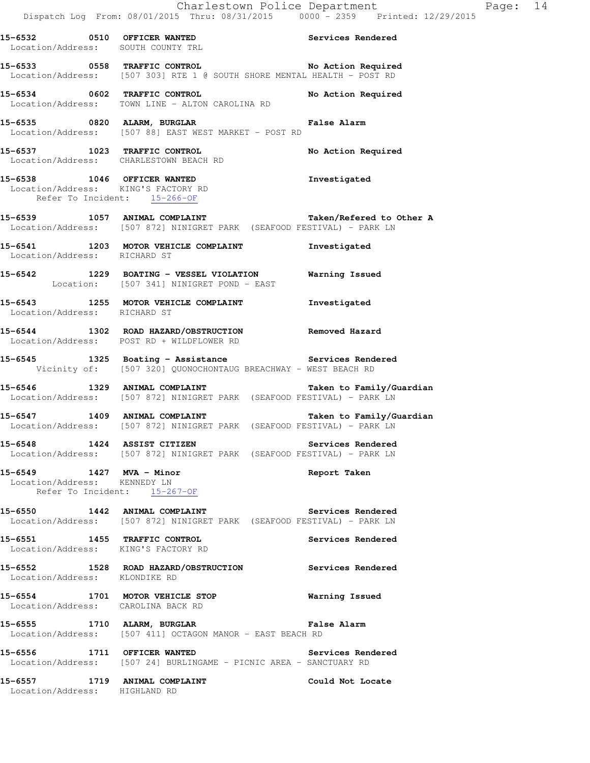**15-6532 0510 OFFICER WANTED Services Rendered**  Location/Address: SOUTH COUNTY TRL **15-6533 0558 TRAFFIC CONTROL No Action Required**  Location/Address: [507 303] RTE 1 @ SOUTH SHORE MENTAL HEALTH - POST RD **15-6534 0602 TRAFFIC CONTROL No Action Required**  Location/Address: TOWN LINE - ALTON CAROLINA RD **15-6535 0820 ALARM, BURGLAR False Alarm**  Location/Address: [507 88] EAST WEST MARKET - POST RD 15-6537 1023 TRAFFIC CONTROL **No Action Required**  Location/Address: CHARLESTOWN BEACH RD **15-6538 1046 OFFICER WANTED Investigated**  Location/Address: KING'S FACTORY RD Refer To Incident: 15-266-OF **15-6539 1057 ANIMAL COMPLAINT Taken/Refered to Other A**  Location/Address: [507 872] NINIGRET PARK (SEAFOOD FESTIVAL) - PARK LN **15-6541 1203 MOTOR VEHICLE COMPLAINT Investigated**  Location/Address: RICHARD ST **15-6542 1229 BOATING - VESSEL VIOLATION Warning Issued**  Location: [507 341] NINIGRET POND - EAST **15-6543 1255 MOTOR VEHICLE COMPLAINT Investigated**  Location/Address: RICHARD ST **15-6544 1302 ROAD HAZARD/OBSTRUCTION Removed Hazard**  Location/Address: POST RD + WILDFLOWER RD 15-6545 **1325** Boating - Assistance **Services Rendered**  Vicinity of: [507 320] QUONOCHONTAUG BREACHWAY - WEST BEACH RD **15-6546 1329 ANIMAL COMPLAINT Taken to Family/Guardian**  Location/Address: [507 872] NINIGRET PARK (SEAFOOD FESTIVAL) - PARK LN **15-6547 1409 ANIMAL COMPLAINT Taken to Family/Guardian**  Location/Address: [507 872] NINIGRET PARK (SEAFOOD FESTIVAL) - PARK LN **15-6548 1424 ASSIST CITIZEN Services Rendered**  Location/Address: [507 872] NINIGRET PARK (SEAFOOD FESTIVAL) - PARK LN **15-6549 1427 MVA - Minor Report Taken**  Location/Address: KENNEDY LN Refer To Incident: 15-267-OF **15-6550 1442 ANIMAL COMPLAINT Services Rendered**  Location/Address: [507 872] NINIGRET PARK (SEAFOOD FESTIVAL) - PARK LN **15-6551 1455 TRAFFIC CONTROL Services Rendered**  Location/Address: KING'S FACTORY RD **15-6552 1528 ROAD HAZARD/OBSTRUCTION Services Rendered**  Location/Address: KLONDIKE RD **15-6554 1701 MOTOR VEHICLE STOP Warning Issued**  Location/Address: CAROLINA BACK RD **15-6555 1710 ALARM, BURGLAR False Alarm**  Location/Address: [507 411] OCTAGON MANOR - EAST BEACH RD **15-6556 1711 OFFICER WANTED Services Rendered**  Location/Address: [507 24] BURLINGAME - PICNIC AREA - SANCTUARY RD **15-6557 1719 ANIMAL COMPLAINT Could Not Locate**  Location/Address: HIGHLAND RD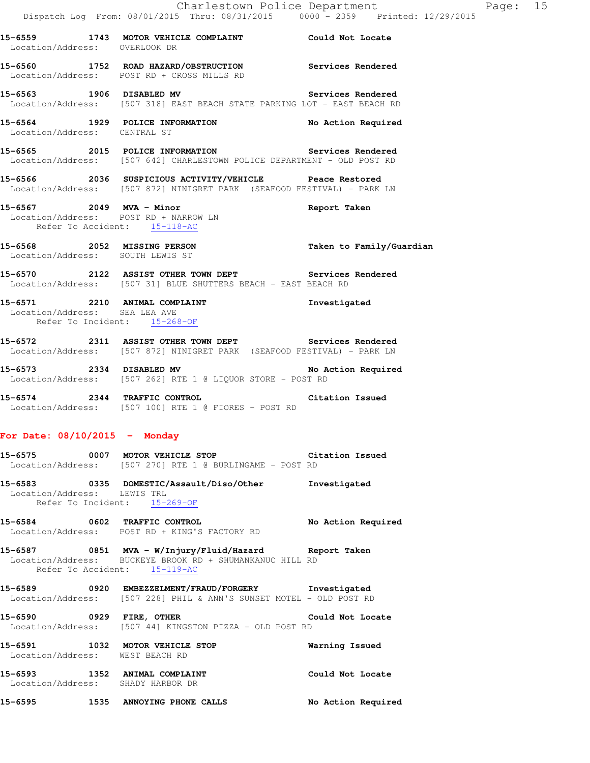- **15-6565 2015 POLICE INFORMATION Services Rendered**  Location/Address: [507 642] CHARLESTOWN POLICE DEPARTMENT - OLD POST RD
- **15-6566 2036 SUSPICIOUS ACTIVITY/VEHICLE Peace Restored**  Location/Address: [507 872] NINIGRET PARK (SEAFOOD FESTIVAL) - PARK LN
- **15-6567 2049 MVA Minor Report Taken**  Location/Address: POST RD + NARROW LN Refer To Accident: 15-118-AC
- **15-6568 2052 MISSING PERSON Taken to Family/Guardian**  Location/Address: SOUTH LEWIS ST
- **15-6570 2122 ASSIST OTHER TOWN DEPT Services Rendered**  Location/Address: [507 31] BLUE SHUTTERS BEACH - EAST BEACH RD
- **15-6571 2210 ANIMAL COMPLAINT Investigated**  Location/Address: SEA LEA AVE Refer To Incident: 15-268-OF
- **15-6572 2311 ASSIST OTHER TOWN DEPT Services Rendered**  Location/Address: [507 872] NINIGRET PARK (SEAFOOD FESTIVAL) - PARK LN
- 15-6573 2334 DISABLED MV **No Action Required** Location/Address: [507 262] RTE 1 @ LIQUOR STORE - POST RD
- **15-6574 2344 TRAFFIC CONTROL Citation Issued**  Location/Address: [507 100] RTE 1 @ FIORES - POST RD

# **For Date: 08/10/2015 - Monday**

| 15–6575                                | 0007 | MOTOR VEHICLE STOP<br>Location/Address: [507 270] RTE 1 @ BURLINGAME - POST RD          | Citation Issued    |
|----------------------------------------|------|-----------------------------------------------------------------------------------------|--------------------|
| 15-6583<br>Location/Address: LEWIS TRL | 0335 | DOMESTIC/Assault/Diso/Other<br>Refer To Incident: 15-269-OF                             | Investigated       |
| 15-6584                                | 0602 | TRAFFIC CONTROL<br>Location/Address: POST RD + KING'S FACTORY RD                        | No Action Required |
| 15-6587                                | 0851 | MVA - W/Injury/Fluid/Hazard<br>Location/Address: BUCKEYE BROOK RD + SHUMANKANUC HILL RD | Report Taken       |

- Refer To Accident: 15-119-AC **15-6589 0920 EMBEZZELMENT/FRAUD/FORGERY Investigated**
- Location/Address: [507 228] PHIL & ANN'S SUNSET MOTEL OLD POST RD
- **15-6590 0929 FIRE, OTHER Could Not Locate**  Location/Address: [507 44] KINGSTON PIZZA - OLD POST RD
- **15-6591 1032 MOTOR VEHICLE STOP Warning Issued**  Location/Address: WEST BEACH RD **15-6593 1352 ANIMAL COMPLAINT Could Not Locate**  Location/Address: SHADY HARBOR DR
- **15-6595 1535 ANNOYING PHONE CALLS No Action Required**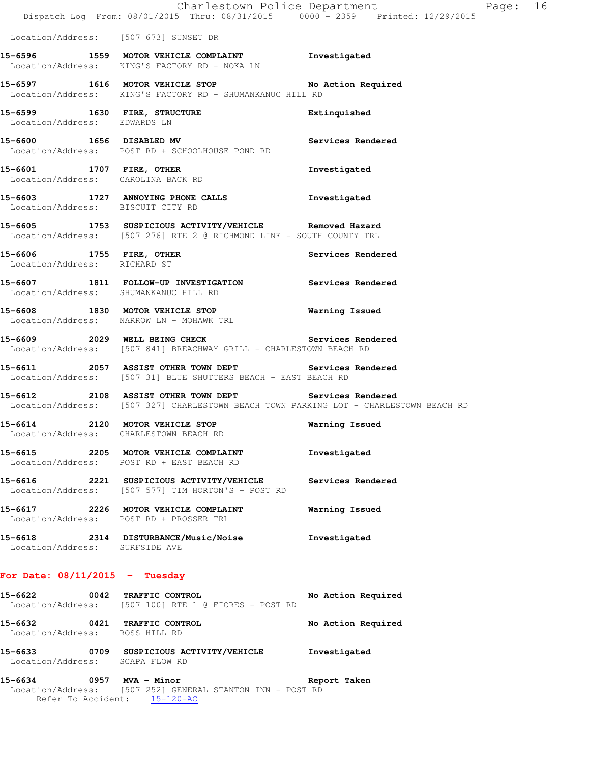|                                                          | Dispatch Log From: 08/01/2015 Thru: 08/31/2015 0000 <sup>-</sup> 2359 Printed: 12/29/2015                                                      | Charlestown Police Department | Page: 16 |  |
|----------------------------------------------------------|------------------------------------------------------------------------------------------------------------------------------------------------|-------------------------------|----------|--|
| Location/Address: [507 673] SUNSET DR                    |                                                                                                                                                |                               |          |  |
|                                                          | 15-6596 1559 MOTOR VEHICLE COMPLAINT 1nvestigated<br>Location/Address: KING'S FACTORY RD + NOKA LN                                             |                               |          |  |
|                                                          | 15-6597 1616 MOTOR VEHICLE STOP No Action Required<br>Location/Address: KING'S FACTORY RD + SHUMANKANUC HILL RD                                |                               |          |  |
| Location/Address: EDWARDS LN                             | 15-6599 1630 FIRE, STRUCTURE                                                                                                                   | Extinquished                  |          |  |
|                                                          | 15-6600 1656 DISABLED MV 3ervices Rendered<br>Location/Address: POST RD + SCHOOLHOUSE POND RD                                                  |                               |          |  |
| Location/Address: CAROLINA BACK RD                       | 15-6601 1707 FIRE, OTHER                                                                                                                       | Investigated                  |          |  |
| Location/Address: BISCUIT CITY RD                        | 15-6603 1727 ANNOYING PHONE CALLS 1nvestigated                                                                                                 |                               |          |  |
|                                                          | 15-6605 1753 SUSPICIOUS ACTIVITY/VEHICLE Removed Hazard<br>Location/Address: [507 276] RTE 2 @ RICHMOND LINE - SOUTH COUNTY TRL                |                               |          |  |
| 15-6606 1755 FIRE, OTHER<br>Location/Address: RICHARD ST |                                                                                                                                                | Services Rendered             |          |  |
| Location/Address: SHUMANKANUC HILL RD                    | 15-6607 1811 FOLLOW-UP INVESTIGATION Services Rendered                                                                                         |                               |          |  |
|                                                          | 15-6608 1830 MOTOR VEHICLE STOP<br>Location/Address: NARROW LN + MOHAWK TRL                                                                    | <b>Warning Issued</b>         |          |  |
|                                                          | 15-6609 2029 WELL BEING CHECK Services Rendered<br>Location/Address: [507 841] BREACHWAY GRILL - CHARLESTOWN BEACH RD                          |                               |          |  |
|                                                          | 15-6611 2057 ASSIST OTHER TOWN DEPT Services Rendered<br>Location/Address: [507 31] BLUE SHUTTERS BEACH - EAST BEACH RD                        |                               |          |  |
|                                                          | 15-6612 2108 ASSIST OTHER TOWN DEPT Services Rendered<br>Location/Address: [507 327] CHARLESTOWN BEACH TOWN PARKING LOT - CHARLESTOWN BEACH RD |                               |          |  |
|                                                          | 15-6614 2120 MOTOR VEHICLE STOP<br>Location/Address: CHARLESTOWN BEACH RD                                                                      | Warning Issued                |          |  |
|                                                          | 15-6615 2205 MOTOR VEHICLE COMPLAINT<br>Location/Address: POST RD + EAST BEACH RD                                                              | Investigated                  |          |  |
|                                                          | 15-6616 2221 SUSPICIOUS ACTIVITY/VEHICLE<br>Location/Address: [507 577] TIM HORTON'S - POST RD                                                 | Services Rendered             |          |  |
|                                                          | 15-6617 2226 MOTOR VEHICLE COMPLAINT<br>Location/Address: POST RD + PROSSER TRL                                                                | Warning Issued                |          |  |
| Location/Address: SURFSIDE AVE                           | 15-6618 2314 DISTURBANCE/Music/Noise                                                                                                           | Investigated                  |          |  |
| For Date: $08/11/2015$ - Tuesday                         |                                                                                                                                                |                               |          |  |
| 15–6622                                                  | 0042 TRAFFIC CONTROL<br>Location/Address: [507 100] RTE 1 @ FIORES - POST RD                                                                   | No Action Required            |          |  |

**15-6632 0421 TRAFFIC CONTROL No Action Required**  Location/Address: ROSS HILL RD **15-6633 0709 SUSPICIOUS ACTIVITY/VEHICLE Investigated**  Location/Address: SCAPA FLOW RD

#### **15-6634 0957 MVA - Minor Report Taken**  Location/Address: [507 252] GENERAL STANTON INN - POST RD Refer To Accident: 15-120-AC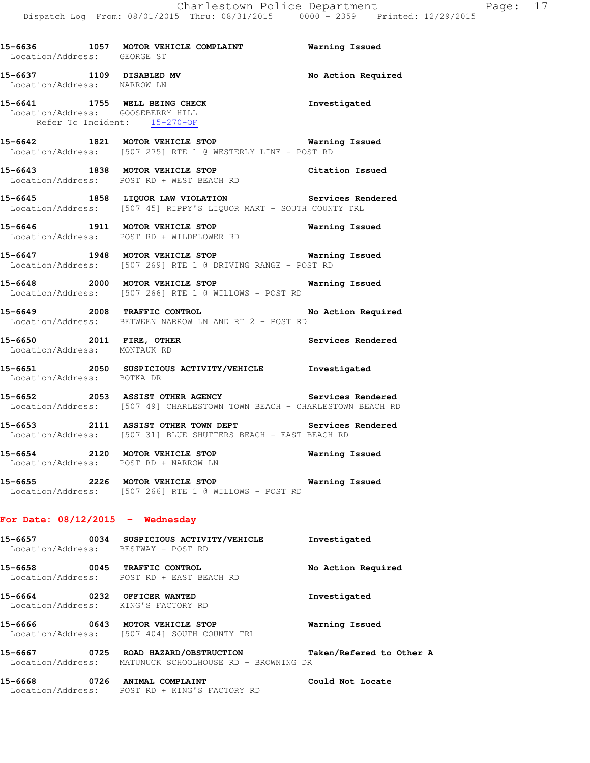| <b>ICLE COMPLAINT</b> | Warning Issued |                                      |  |
|-----------------------|----------------|--------------------------------------|--|
| TA THEM, AQVATI RATA  |                | $UUVU = 2337 - 2111080$ , $12/27/20$ |  |

15-6636 **1057 MOTOR VEH**  Location/Address: GEORGE ST **15-6637 1109 DISABLED MV No Action Required**  Location/Address: NARROW LN **15-6641 1755 WELL BEING CHECK Investigated**  Location/Address: GOOSEBERRY HILL Refer To Incident: 15-270-OF **15-6642 1821 MOTOR VEHICLE STOP Warning Issued**  Location/Address: [507 275] RTE 1 @ WESTERLY LINE - POST RD **15-6643 1838 MOTOR VEHICLE STOP Citation Issued**  Location/Address: POST RD + WEST BEACH RD **15-6645 1858 LIQUOR LAW VIOLATION Services Rendered**  Location/Address: [507 45] RIPPY'S LIQUOR MART - SOUTH COUNTY TRL **15-6646 1911 MOTOR VEHICLE STOP Warning Issued**  Location/Address: POST RD + WILDFLOWER RD **15-6647 1948 MOTOR VEHICLE STOP Warning Issued**  Location/Address: [507 269] RTE 1 @ DRIVING RANGE - POST RD **15-6648 2000 MOTOR VEHICLE STOP Warning Issued**  Location/Address: [507 266] RTE 1 @ WILLOWS - POST RD 15-6649 2008 TRAFFIC CONTROL **No Action Required**  Location/Address: BETWEEN NARROW LN AND RT 2 - POST RD **15-6650 2011 FIRE, OTHER Services Rendered**  Location/Address: MONTAUK RD **15-6651 2050 SUSPICIOUS ACTIVITY/VEHICLE Investigated**  Location/Address: BOTKA DR 15-6652 **2053** ASSIST OTHER AGENCY **Services** Rendered Location/Address: [507 49] CHARLESTOWN TOWN BEACH - CHARLESTOWN BEACH RD **15-6653 2111 ASSIST OTHER TOWN DEPT Services Rendered**  Location/Address: [507 31] BLUE SHUTTERS BEACH - EAST BEACH RD **15-6654 2120 MOTOR VEHICLE STOP Warning Issued**  Location/Address: POST RD + NARROW LN **15-6655 2226 MOTOR VEHICLE STOP Warning Issued**  Location/Address: [507 266] RTE 1 @ WILLOWS - POST RD **For Date: 08/12/2015 - Wednesday**

| 15-6657<br>Location/Address: | 0034 | SUSPICIOUS ACTIVITY/VEHICLE<br>BESTWAY - POST RD      | Investigated       |
|------------------------------|------|-------------------------------------------------------|--------------------|
| 15-6658<br>Location/Address: | 0045 | TRAFFIC CONTROL<br>POST RD + EAST BEACH RD            | No Action Required |
| 15-6664                      | 0232 | OFFICER WANTED<br>Location/Address: KING'S FACTORY RD | Investigated       |
| 15-6666                      | 0643 | MOTOR VEHICLE STOP                                    | Warning Issued     |

**15-6667 0725 ROAD HAZARD/OBSTRUCTION Taken/Refered to Other A**  Location/Address: MATUNUCK SCHOOLHOUSE RD + BROWNING DR

**15-6668 0726 ANIMAL COMPLAINT Could Not Locate**  Location/Address: POST RD + KING'S FACTORY RD

Location/Address: [507 404] SOUTH COUNTY TRL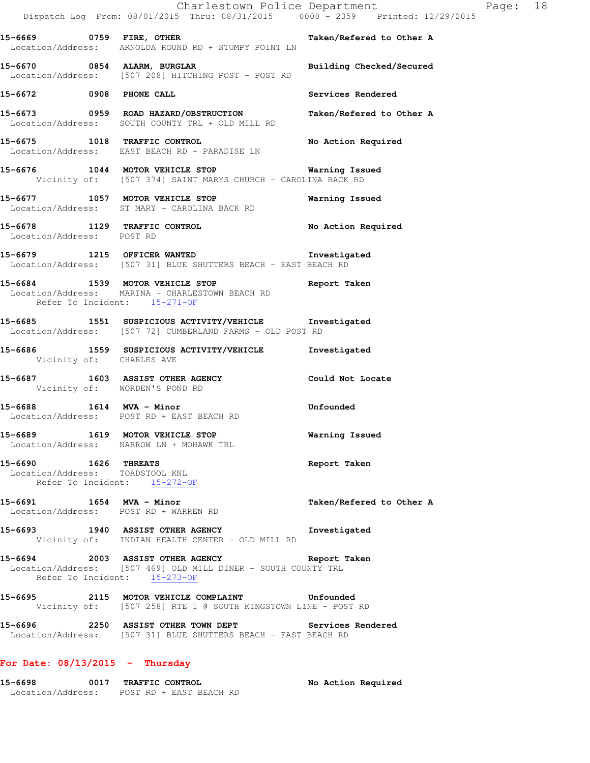|                                                                                         | Dispatch Log From: 08/01/2015 Thru: 08/31/2015 0000 <sup>-</sup> 2359 Printed: 12/29/2015                                                      | Charlestown Police Department | Page: 18 |  |
|-----------------------------------------------------------------------------------------|------------------------------------------------------------------------------------------------------------------------------------------------|-------------------------------|----------|--|
|                                                                                         | 15-6669 		 0759 FIRE, OTHER 		 Taken/Refered to Other A<br>Location/Address: ARNOLDA ROUND RD + STUMPY POINT LN                                |                               |          |  |
| 15-6670 0854 ALARM, BURGLAR                                                             | Location/Address: [507 208] HITCHING POST - POST RD                                                                                            | Building Checked/Secured      |          |  |
| 15-6672 0908 PHONE CALL                                                                 |                                                                                                                                                | Services Rendered             |          |  |
|                                                                                         | 15-6673 0959 ROAD HAZARD/OBSTRUCTION<br>Location/Address: SOUTH COUNTY TRL + OLD MILL RD                                                       | Taken/Refered to Other A      |          |  |
|                                                                                         | 15-6675 1018 TRAFFIC CONTROL<br>Location/Address: EAST BEACH RD + PARADISE LN                                                                  | No Action Required            |          |  |
|                                                                                         | 15-6676 1044 MOTOR VEHICLE STOP 15 Warning Issued<br>Vicinity of: [507 374] SAINT MARYS CHURCH - CAROLINA BACK RD                              |                               |          |  |
|                                                                                         | 15-6677 1057 MOTOR VEHICLE STOP<br>Location/Address: ST MARY - CAROLINA BACK RD                                                                | Warning Issued                |          |  |
| Location/Address: POST RD                                                               | 15-6678 1129 TRAFFIC CONTROL                                                                                                                   | No Action Required            |          |  |
|                                                                                         | 15-6679 1215 OFFICER WANTED <b>Investigated</b><br>Location/Address: [507 31] BLUE SHUTTERS BEACH - EAST BEACH RD                              |                               |          |  |
| Refer To Incident: 15-271-OF                                                            | 15-6684 1539 MOTOR VEHICLE STOP<br>Location/Address: MARINA - CHARLESTOWN BEACH RD                                                             | Report Taken                  |          |  |
|                                                                                         | 15-6685 1551 SUSPICIOUS ACTIVITY/VEHICLE 1nvestigated<br>Location/Address: [507 72] CUMBERLAND FARMS - OLD POST RD                             |                               |          |  |
| Vicinity of: CHARLES AVE                                                                | 15-6686 1559 SUSPICIOUS ACTIVITY/VEHICLE 1nvestigated                                                                                          |                               |          |  |
| Vicinity of: WORDEN'S POND RD                                                           | 15-6687 1603 ASSIST OTHER AGENCY 1997 Could Not Locate                                                                                         |                               |          |  |
|                                                                                         | 15-6688 1614 MVA - Minor<br>Location/Address: POST RD + EAST BEACH RD                                                                          | Unfounded                     |          |  |
|                                                                                         | 15-6689 1619 MOTOR VEHICLE STOP<br>Location/Address: NARROW LN + MOHAWK TRL                                                                    | Warning Issued                |          |  |
| 15-6690 1626 THREATS<br>Location/Address: TOADSTOOL KNL<br>Refer To Incident: 15-272-OF |                                                                                                                                                | Report Taken                  |          |  |
|                                                                                         | 15-6691 1654 MVA - Minor<br>Location/Address: POST RD + WARREN RD                                                                              | Taken/Refered to Other A      |          |  |
|                                                                                         | 15-6693 1940 ASSIST OTHER AGENCY Threstigated<br>Vicinity of: INDIAN HEALTH CENTER - OLD MILL RD                                               |                               |          |  |
|                                                                                         | 15-6694 2003 ASSIST OTHER AGENCY Neport Taken<br>Location/Address: [507 469] OLD MILL DINER - SOUTH COUNTY TRL<br>Refer To Incident: 15-273-OF |                               |          |  |
|                                                                                         | 15-6695 2115 MOTOR VEHICLE COMPLAINT Unfounded<br>Vicinity of: [507 258] RTE 1 @ SOUTH KINGSTOWN LINE - POST RD                                |                               |          |  |
|                                                                                         | 15-6696 2250 ASSIST OTHER TOWN DEPT Services Rendered Location/Address: [507 31] BLUE SHUTTERS BEACH - EAST BEACH RD                           |                               |          |  |
| For Date: $08/13/2015$ - Thursday                                                       |                                                                                                                                                |                               |          |  |

**15-6698 0017 TRAFFIC CONTROL No Action Required**  Location/Address: POST RD + EAST BEACH RD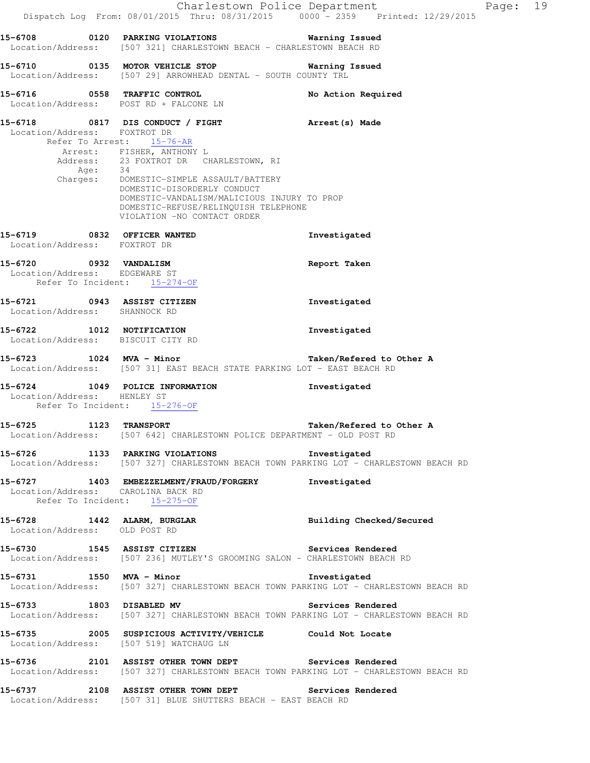|                                                                                         |                                                                                                                                                                                                                                                                                                                                                       | Charlestown Police Department<br>Page: 19<br>Dispatch Log From: 08/01/2015 Thru: 08/31/2015 0000 - 2359 Printed: 12/29/2015 |  |
|-----------------------------------------------------------------------------------------|-------------------------------------------------------------------------------------------------------------------------------------------------------------------------------------------------------------------------------------------------------------------------------------------------------------------------------------------------------|-----------------------------------------------------------------------------------------------------------------------------|--|
|                                                                                         | 15-6708       0120   PARKING VIOLATIONS            Warning Issued<br>Location/Address: [507 321] CHARLESTOWN BEACH - CHARLESTOWN BEACH RD                                                                                                                                                                                                             |                                                                                                                             |  |
|                                                                                         | 15-6710 0135 MOTOR VEHICLE STOP<br>Location/Address: [507 29] ARROWHEAD DENTAL - SOUTH COUNTY TRL                                                                                                                                                                                                                                                     | Warning Issued                                                                                                              |  |
|                                                                                         | 15-6716 0558 TRAFFIC CONTROL<br>Location/Address: POST RD + FALCONE LN                                                                                                                                                                                                                                                                                | No Action Required                                                                                                          |  |
| Location/Address: FOXTROT DR<br>Age: 34                                                 | 15-6718 0817 DIS CONDUCT / FIGHT Arrest (s) Made<br>Refer To Arrest: 15-76-AR<br>Arrest: FISHER, ANTHONY L<br>Address: 23 FOXTROT DR CHARLESTOWN, RI<br>Charges: DOMESTIC-SIMPLE ASSAULT/BATTERY<br>DOMESTIC-DISORDERLY CONDUCT<br>DOMESTIC-VANDALISM/MALICIOUS INJURY TO PROP<br>DOMESTIC-REFUSE/RELINQUISH TELEPHONE<br>VIOLATION -NO CONTACT ORDER |                                                                                                                             |  |
| 15-6719 0832 OFFICER WANTED<br>Location/Address: FOXTROT DR                             |                                                                                                                                                                                                                                                                                                                                                       | Investigated                                                                                                                |  |
| 15-6720 0932 VANDALISM<br>Location/Address: EDGEWARE ST<br>Refer To Incident: 15-274-OF |                                                                                                                                                                                                                                                                                                                                                       | Report Taken                                                                                                                |  |
| 15-6721 0943 ASSIST CITIZEN<br>Location/Address: SHANNOCK RD                            |                                                                                                                                                                                                                                                                                                                                                       | Investigated                                                                                                                |  |
| 15-6722 1012 NOTIFICATION<br>Location/Address: BISCUIT CITY RD                          |                                                                                                                                                                                                                                                                                                                                                       | Investigated                                                                                                                |  |
|                                                                                         | 15-6723 1024 MVA - Minor<br>Location/Address: [507 31] EAST BEACH STATE PARKING LOT - EAST BEACH RD                                                                                                                                                                                                                                                   | Taken/Refered to Other A                                                                                                    |  |
| Location/Address: HENLEY ST                                                             | 15-6724 1049 POLICE INFORMATION<br>Refer To Incident: 15-276-OF                                                                                                                                                                                                                                                                                       | Investigated                                                                                                                |  |
| 15-6725                                                                                 | <b>1123 TRANSPORT</b><br>Location/Address: [507 642] CHARLESTOWN POLICE DEPARTMENT - OLD POST RD                                                                                                                                                                                                                                                      | Taken/Refered to Other A                                                                                                    |  |
|                                                                                         | 15-6726 1133 PARKING VIOLATIONS Threstigated                                                                                                                                                                                                                                                                                                          | Location/Address: [507 327] CHARLESTOWN BEACH TOWN PARKING LOT - CHARLESTOWN BEACH RD                                       |  |
| Location/Address: CAROLINA BACK RD<br>Refer To Incident: 15-275-OF                      | 15-6727 1403 EMBEZZELMENT/FRAUD/FORGERY Investigated                                                                                                                                                                                                                                                                                                  |                                                                                                                             |  |
| Location/Address: OLD POST RD                                                           | 15-6728 1442 ALARM, BURGLAR                                                                                                                                                                                                                                                                                                                           | Building Checked/Secured                                                                                                    |  |
|                                                                                         | 15-6730 1545 ASSIST CITIZEN<br>Location/Address: [507 236] MUTLEY'S GROOMING SALON - CHARLESTOWN BEACH RD                                                                                                                                                                                                                                             | Services Rendered                                                                                                           |  |
|                                                                                         | 15-6731 1550 MVA - Minor                                                                                                                                                                                                                                                                                                                              | Investigated<br>Location/Address: [507 327] CHARLESTOWN BEACH TOWN PARKING LOT - CHARLESTOWN BEACH RD                       |  |
|                                                                                         | 15-6733 1803 DISABLED MV                                                                                                                                                                                                                                                                                                                              | Services Rendered<br>Location/Address: [507 327] CHARLESTOWN BEACH TOWN PARKING LOT - CHARLESTOWN BEACH RD                  |  |
|                                                                                         | 15-6735 2005 SUSPICIOUS ACTIVITY/VEHICLE Could Not Locate<br>Location/Address: [507 519] WATCHAUG LN                                                                                                                                                                                                                                                  |                                                                                                                             |  |
|                                                                                         | 15-6736 2101 ASSIST OTHER TOWN DEPT Services Rendered                                                                                                                                                                                                                                                                                                 | Location/Address: [507 327] CHARLESTOWN BEACH TOWN PARKING LOT - CHARLESTOWN BEACH RD                                       |  |
|                                                                                         | 15-6737 2108 ASSIST OTHER TOWN DEPT Services Rendered<br>Location/Address: [507 31] BLUE SHUTTERS BEACH - EAST BEACH RD                                                                                                                                                                                                                               |                                                                                                                             |  |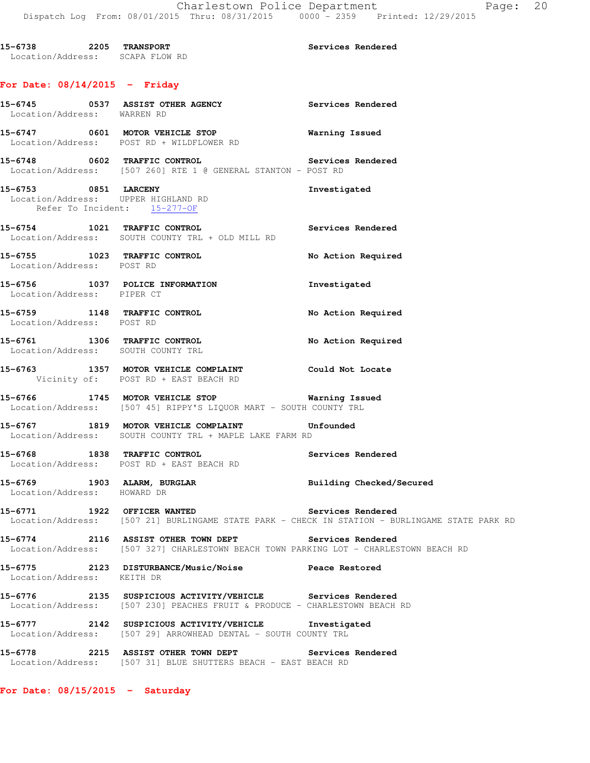**15-6738 2205 TRANSPORT Services Rendered**  Location/Address: SCAPA FLOW RD

## **For Date: 08/14/2015 - Friday**

| Location/Address: WARREN RD  | 15-6745 0537 ASSIST OTHER AGENCY                                                                                                         | Services Rendered                                                                              |
|------------------------------|------------------------------------------------------------------------------------------------------------------------------------------|------------------------------------------------------------------------------------------------|
|                              | 15-6747 0601 MOTOR VEHICLE STOP<br>Location/Address: POST RD + WILDFLOWER RD                                                             | <b>Warning Issued</b>                                                                          |
|                              | 15-6748 0602 TRAFFIC CONTROL 15-6748 Services Rendered<br>Location/Address: [507 260] RTE 1 @ GENERAL STANTON - POST RD                  |                                                                                                |
| Refer To Incident: 15-277-OF | 15-6753 0851 LARCENY<br>Location/Address: UPPER HIGHLAND RD                                                                              | Investigated                                                                                   |
|                              | 15-6754 1021 TRAFFIC CONTROL<br>Location/Address: SOUTH COUNTY TRL + OLD MILL RD                                                         | Services Rendered                                                                              |
| Location/Address: POST RD    | 15-6755 1023 TRAFFIC CONTROL                                                                                                             | No Action Required                                                                             |
| Location/Address: PIPER CT   | 15-6756 1037 POLICE INFORMATION                                                                                                          | Investigated                                                                                   |
| Location/Address: POST RD    | 15-6759 1148 TRAFFIC CONTROL                                                                                                             | No Action Required                                                                             |
|                              | 15-6761 1306 TRAFFIC CONTROL<br>Location/Address: SOUTH COUNTY TRL                                                                       | No Action Required                                                                             |
|                              | 15-6763 1357 MOTOR VEHICLE COMPLAINT Could Not Locate<br>Vicinity of: POST RD + EAST BEACH RD                                            |                                                                                                |
|                              | 15-6766 1745 MOTOR VEHICLE STOP <b>Marning Issued</b><br>Location/Address: [507 45] RIPPY'S LIQUOR MART - SOUTH COUNTY TRL               |                                                                                                |
|                              | 15-6767 1819 MOTOR VEHICLE COMPLAINT Unfounded<br>Location/Address: SOUTH COUNTY TRL + MAPLE LAKE FARM RD                                |                                                                                                |
|                              | 15-6768 1838 TRAFFIC CONTROL 15-6768 Services Rendered<br>Location/Address: POST RD + EAST BEACH RD                                      |                                                                                                |
| Location/Address: HOWARD DR  | 15-6769 1903 ALARM, BURGLAR 1999 Building Checked/Secured                                                                                |                                                                                                |
|                              | 15-6771 1922 OFFICER WANTED Services Rendered                                                                                            | Location/Address: [507 21] BURLINGAME STATE PARK - CHECK IN STATION - BURLINGAME STATE PARK RD |
| 15-6774                      | 2116 ASSIST OTHER TOWN DEPT Services Rendered<br>Location/Address: [507 327] CHARLESTOWN BEACH TOWN PARKING LOT - CHARLESTOWN BEACH RD   |                                                                                                |
| Location/Address: KEITH DR   | 15-6775 2123 DISTURBANCE/Music/Noise Peace Restored                                                                                      |                                                                                                |
|                              | 15-6776 2135 SUSPICIOUS ACTIVITY/VEHICLE Services Rendered<br>Location/Address: [507 230] PEACHES FRUIT & PRODUCE - CHARLESTOWN BEACH RD |                                                                                                |
|                              | 15-6777 2142 SUSPICIOUS ACTIVITY/VEHICLE Investigated<br>Location/Address: [507 29] ARROWHEAD DENTAL - SOUTH COUNTY TRL                  |                                                                                                |
|                              | 15-6778 2215 ASSIST OTHER TOWN DEPT Services Rendered<br>Location/Address: [507 31] BLUE SHUTTERS BEACH - EAST BEACH RD                  |                                                                                                |

**For Date: 08/15/2015 - Saturday**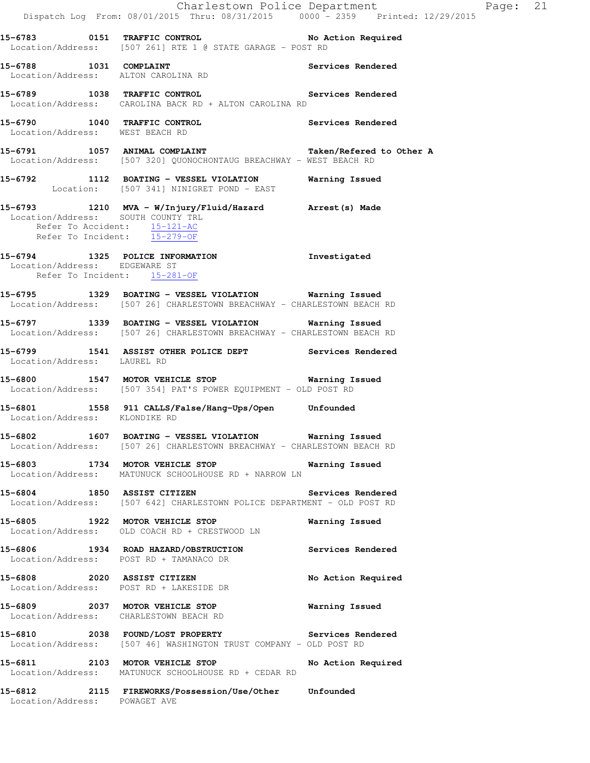Charlestown Police Department Fage: 21 Dispatch Log From: 08/01/2015 Thru: 08/31/2015 0000 - 2359 Printed: 12/29/2015 **15-6783 0151 TRAFFIC CONTROL No Action Required**  Location/Address: [507 261] RTE 1 @ STATE GARAGE - POST RD **15-6788 1031 COMPLAINT Services Rendered**  Location/Address: ALTON CAROLINA RD **15-6789 1038 TRAFFIC CONTROL Services Rendered**  Location/Address: CAROLINA BACK RD + ALTON CAROLINA RD **15-6790 1040 TRAFFIC CONTROL Services Rendered**  Location/Address: WEST BEACH RD **15-6791 1057 ANIMAL COMPLAINT Taken/Refered to Other A**  Location/Address: [507 320] QUONOCHONTAUG BREACHWAY - WEST BEACH RD **15-6792 1112 BOATING - VESSEL VIOLATION Warning Issued**  Location: [507 341] NINIGRET POND - EAST **15-6793 1210 MVA - W/Injury/Fluid/Hazard Arrest(s) Made**  Location/Address: SOUTH COUNTY TRL Refer To Accident: 15-121-AC Refer To Incident: 15-279-OF **15-6794 1325 POLICE INFORMATION Investigated**  Location/Address: EDGEWARE ST Refer To Incident: 15-281-OF **15-6795 1329 BOATING - VESSEL VIOLATION Warning Issued**  Location/Address: [507 26] CHARLESTOWN BREACHWAY - CHARLESTOWN BEACH RD **15-6797 1339 BOATING - VESSEL VIOLATION Warning Issued**  Location/Address: [507 26] CHARLESTOWN BREACHWAY - CHARLESTOWN BEACH RD **15-6799 1541 ASSIST OTHER POLICE DEPT Services Rendered**  Location/Address: LAUREL RD **15-6800 1547 MOTOR VEHICLE STOP Warning Issued**  Location/Address: [507 354] PAT'S POWER EQUIPMENT - OLD POST RD **15-6801 1558 911 CALLS/False/Hang-Ups/Open Unfounded**  Location/Address: KLONDIKE RD **15-6802 1607 BOATING - VESSEL VIOLATION Warning Issued**  Location/Address: [507 26] CHARLESTOWN BREACHWAY - CHARLESTOWN BEACH RD **15-6803 1734 MOTOR VEHICLE STOP Warning Issued**  Location/Address: MATUNUCK SCHOOLHOUSE RD + NARROW LN **15-6804 1850 ASSIST CITIZEN Services Rendered**  Location/Address: [507 642] CHARLESTOWN POLICE DEPARTMENT - OLD POST RD **15-6805 1922 MOTOR VEHICLE STOP Warning Issued**  Location/Address: OLD COACH RD + CRESTWOOD LN **15-6806 1934 ROAD HAZARD/OBSTRUCTION Services Rendered**  Location/Address: POST RD + TAMANACO DR **15-6808 2020 ASSIST CITIZEN No Action Required**  Location/Address: POST RD + LAKESIDE DR **15-6809 2037 MOTOR VEHICLE STOP Warning Issued**  Location/Address: CHARLESTOWN BEACH RD **15-6810 2038 FOUND/LOST PROPERTY Services Rendered**  Location/Address: [507 46] WASHINGTON TRUST COMPANY - OLD POST RD **15-6811 2103 MOTOR VEHICLE STOP No Action Required**  Location/Address: MATUNUCK SCHOOLHOUSE RD + CEDAR RD **15-6812 2115 FIREWORKS/Possession/Use/Other Unfounded**  Location/Address: POWAGET AVE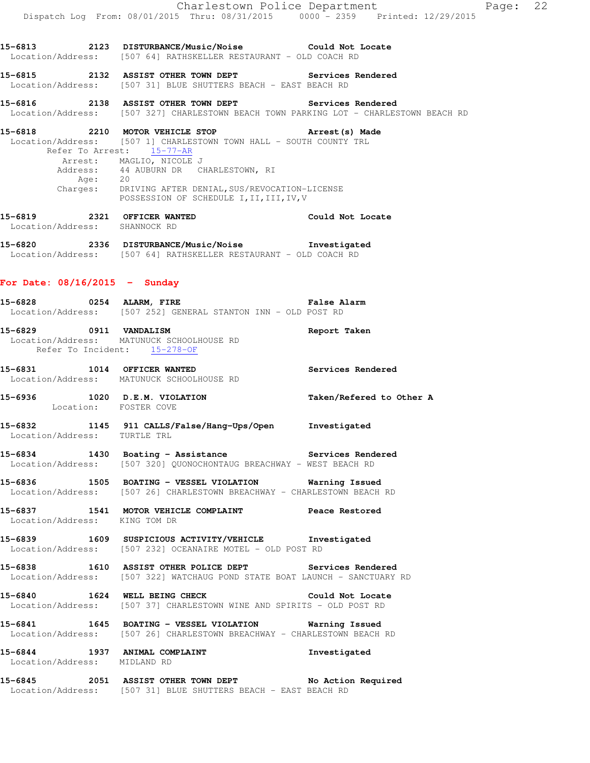|                                                              | Dispatch Log From: 08/01/2015 Thru: 08/31/2015 0000 - 2359 Printed: 12/29/2015                                                                                                                                                                                                                                                                 | Charlestown Police Department | Page: 22 |  |
|--------------------------------------------------------------|------------------------------------------------------------------------------------------------------------------------------------------------------------------------------------------------------------------------------------------------------------------------------------------------------------------------------------------------|-------------------------------|----------|--|
|                                                              | 15-6813 		 2123 DISTURBANCE/Music/Noise 		 Could Not Locate<br>Location/Address: [507 64] RATHSKELLER RESTAURANT - OLD COACH RD                                                                                                                                                                                                                |                               |          |  |
|                                                              | 15-6815 2132 ASSIST OTHER TOWN DEPT Services Rendered<br>Location/Address: [507 31] BLUE SHUTTERS BEACH - EAST BEACH RD                                                                                                                                                                                                                        |                               |          |  |
|                                                              | 15-6816 		 2138 ASSIST OTHER TOWN DEPT 		 Services Rendered<br>Location/Address: [507 327] CHARLESTOWN BEACH TOWN PARKING LOT - CHARLESTOWN BEACH RD                                                                                                                                                                                           |                               |          |  |
|                                                              | 15-6818 2210 MOTOR VEHICLE STOP <b>Arrest</b> (s) Made<br>Location/Address: [507 1] CHARLESTOWN TOWN HALL - SOUTH COUNTY TRL<br>Refer To Arrest: 15-77-AR<br>Arrest: MAGLIO, NICOLE J<br>Address: 44 AUBURN DR CHARLESTOWN, RI<br>Age: 20<br>Charges: DRIVING AFTER DENIAL, SUS/REVOCATION-LICENSE<br>POSSESSION OF SCHEDULE I, II, III, IV, V |                               |          |  |
| 15-6819 2321 OFFICER WANTED<br>Location/Address: SHANNOCK RD | <b>Could Not Locate</b>                                                                                                                                                                                                                                                                                                                        |                               |          |  |
|                                                              | 15-6820 2336 DISTURBANCE/Music/Noise Investigated<br>Location/Address: [507 64] RATHSKELLER RESTAURANT - OLD COACH RD                                                                                                                                                                                                                          |                               |          |  |
| For Date: $08/16/2015$ - Sunday                              |                                                                                                                                                                                                                                                                                                                                                |                               |          |  |
|                                                              | 15-6828 0254 ALARM, FIRE <b>120 CM ALARM</b> , FIRE<br>Location/Address: [507 252] GENERAL STANTON INN - OLD POST RD                                                                                                                                                                                                                           |                               |          |  |
| 15-6829 0911 VANDALISM<br>Refer To Incident: 15-278-OF       | Location/Address: MATUNUCK SCHOOLHOUSE RD                                                                                                                                                                                                                                                                                                      | Report Taken                  |          |  |
|                                                              | 15-6831 1014 OFFICER WANTED<br>Location/Address: MATUNUCK SCHOOLHOUSE RD                                                                                                                                                                                                                                                                       | Services Rendered             |          |  |
| Location: FOSTER COVE                                        | 15-6936 1020 D.E.M. VIOLATION                                                                                                                                                                                                                                                                                                                  | Taken/Refered to Other A      |          |  |
| Location/Address: TURTLE TRL                                 | 15-6832 1145 911 CALLS/False/Hang-Ups/Open Investigated                                                                                                                                                                                                                                                                                        |                               |          |  |
|                                                              | 15-6834 1430 Boating - Assistance Services Rendered<br>Location/Address: [507 320] QUONOCHONTAUG BREACHWAY - WEST BEACH RD                                                                                                                                                                                                                     |                               |          |  |
|                                                              | Location/Address: [507 26] CHARLESTOWN BREACHWAY - CHARLESTOWN BEACH RD                                                                                                                                                                                                                                                                        |                               |          |  |
| Location/Address: KING TOM DR                                | 15-6837 1541 MOTOR VEHICLE COMPLAINT Peace Restored                                                                                                                                                                                                                                                                                            |                               |          |  |
|                                                              | 15-6839 1609 SUSPICIOUS ACTIVITY/VEHICLE Investigated<br>Location/Address: [507 232] OCEANAIRE MOTEL - OLD POST RD                                                                                                                                                                                                                             |                               |          |  |
|                                                              | 15-6838 1610 ASSIST OTHER POLICE DEPT Services Rendered<br>Location/Address: [507 322] WATCHAUG POND STATE BOAT LAUNCH - SANCTUARY RD                                                                                                                                                                                                          |                               |          |  |
|                                                              | 15-6840 1624 WELL BEING CHECK COULD Not Locate<br>Location/Address: [507 37] CHARLESTOWN WINE AND SPIRITS - OLD POST RD                                                                                                                                                                                                                        |                               |          |  |
|                                                              | 15-6841 1645 BOATING - VESSEL VIOLATION Warning Issued<br>Location/Address: [507 26] CHARLESTOWN BREACHWAY - CHARLESTOWN BEACH RD                                                                                                                                                                                                              |                               |          |  |
| Location/Address: MIDLAND RD                                 | 15-6844 1937 ANIMAL COMPLAINT                                                                                                                                                                                                                                                                                                                  | Investigated                  |          |  |
|                                                              | 15-6845 2051 ASSIST OTHER TOWN DEPT No Action Required<br>Location/Address: [507 31] BLUE SHUTTERS BEACH - EAST BEACH RD                                                                                                                                                                                                                       |                               |          |  |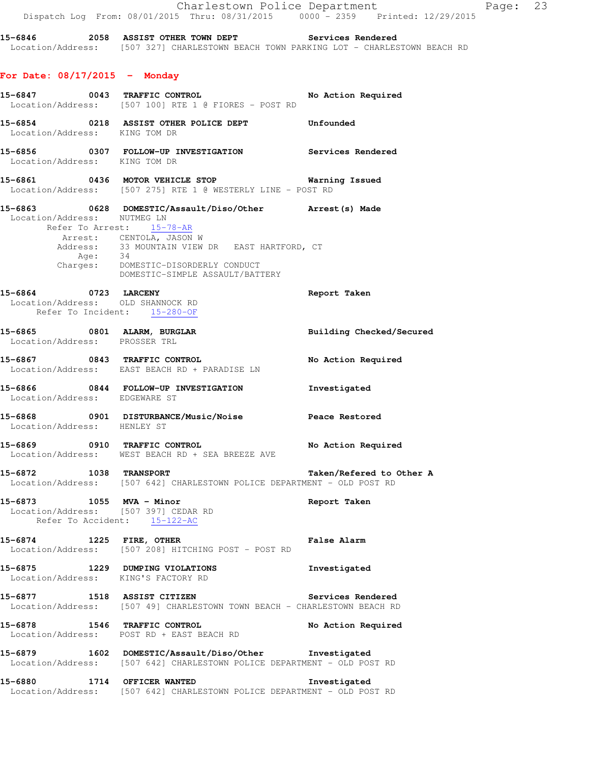|                                                                                           | Charlestown Police Department<br>Dispatch Log From: 08/01/2015 Thru: 08/31/2015 0000 - 2359 Printed: 12/29/2015                                                                                                                                          | $\mathbb{P}$             |  |
|-------------------------------------------------------------------------------------------|----------------------------------------------------------------------------------------------------------------------------------------------------------------------------------------------------------------------------------------------------------|--------------------------|--|
|                                                                                           | 15-6846 2058 ASSIST OTHER TOWN DEPT Services Rendered<br>Location/Address: [507 327] CHARLESTOWN BEACH TOWN PARKING LOT - CHARLESTOWN BEACH RD                                                                                                           |                          |  |
| For Date: $08/17/2015$ - Monday                                                           |                                                                                                                                                                                                                                                          |                          |  |
|                                                                                           | 15-6847 0043 TRAFFIC CONTROL No Action Required<br>Location/Address: [507 100] RTE 1 @ FIORES - POST RD                                                                                                                                                  |                          |  |
| Location/Address: KING TOM DR                                                             | 15-6854 0218 ASSIST OTHER POLICE DEPT Unfounded                                                                                                                                                                                                          |                          |  |
| Location/Address: KING TOM DR                                                             | 15-6856  0307  FOLLOW-UP INVESTIGATION  Services Rendered                                                                                                                                                                                                |                          |  |
|                                                                                           | 15-6861 0436 MOTOR VEHICLE STOP <b>Marning Issued</b><br>Location/Address: [507 275] RTE 1 @ WESTERLY LINE - POST RD                                                                                                                                     |                          |  |
| Location/Address: NUTMEG LN                                                               | 15-6863  0628  DOMESTIC/Assault/Diso/Other  Arrest(s) Made<br>Refer To Arrest: 15-78-AR<br>Arrest: CENTOLA, JASON W<br>Address: 33 MOUNTAIN VIEW DR EAST HARTFORD, CT Age: 34<br>Charges: DOMESTIC-DISORDERLY CONDUCT<br>DOMESTIC-SIMPLE ASSAULT/BATTERY |                          |  |
| 15-6864 0723 LARCENY<br>Location/Address: OLD SHANNOCK RD<br>Refer To Incident: 15-280-OF |                                                                                                                                                                                                                                                          | Report Taken             |  |
| 15-6865 0801 ALARM, BURGLAR<br>Location/Address: PROSSER TRL                              |                                                                                                                                                                                                                                                          | Building Checked/Secured |  |
|                                                                                           | 15-6867 0843 TRAFFIC CONTROL<br>Location/Address: EAST BEACH RD + PARADISE LN                                                                                                                                                                            | No Action Required       |  |
| Location/Address: EDGEWARE ST                                                             | 15-6866 0844 FOLLOW-UP INVESTIGATION Threstigated                                                                                                                                                                                                        |                          |  |
| Location/Address: HENLEY ST                                                               | 15-6868 0901 DISTURBANCE/Music/Noise Peace Restored                                                                                                                                                                                                      |                          |  |
|                                                                                           | 15-6869 0910 TRAFFIC CONTROL No Action Required<br>Location/Address: WEST BEACH RD + SEA BREEZE AVE                                                                                                                                                      |                          |  |
|                                                                                           | 15-6872 1038 TRANSPORT Taken/Refered to<br>Location/Address: [507 642] CHARLESTOWN POLICE DEPARTMENT - OLD POST RD                                                                                                                                       | Taken/Refered to Other A |  |
| 15-6873 1055 MVA - Minor<br>Location/Address: [507 397] CEDAR RD                          | Refer To Accident: 15-122-AC                                                                                                                                                                                                                             | Report Taken             |  |
|                                                                                           | 15-6874 1225 FIRE, OTHER 15-6874<br>Location/Address: [507 208] HITCHING POST - POST RD                                                                                                                                                                  |                          |  |
|                                                                                           | 15-6875 1229 DUMPING VIOLATIONS<br>Location/Address: KING'S FACTORY RD                                                                                                                                                                                   | Investigated             |  |
|                                                                                           | 15-6877 1518 ASSIST CITIZEN 15-6877<br>Location/Address: [507 49] CHARLESTOWN TOWN BEACH - CHARLESTOWN BEACH RD                                                                                                                                          |                          |  |
|                                                                                           | 15-6878 1546 TRAFFIC CONTROL<br>Location/Address: POST RD + EAST BEACH RD                                                                                                                                                                                | No Action Required       |  |
|                                                                                           | 15-6879 1602 DOMESTIC/Assault/Diso/Other Investigated<br>Location/Address: [507 642] CHARLESTOWN POLICE DEPARTMENT - OLD POST RD                                                                                                                         |                          |  |
| 15-6880 1714 OFFICER WANTED                                                               | Location/Address: [507 642] CHARLESTOWN POLICE DEPARTMENT - OLD POST RD                                                                                                                                                                                  | Investigated             |  |

age: 23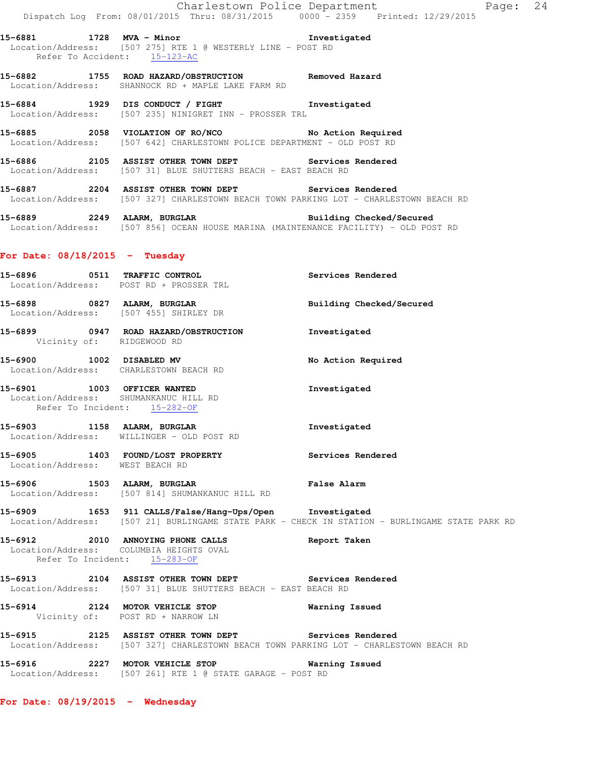**15-6881 1728 MVA - Minor Investigated**  Location/Address: [507 275] RTE 1 @ WESTERLY LINE - POST RD Refer To Accident: 15-123-AC

**15-6882 1755 ROAD HAZARD/OBSTRUCTION Removed Hazard**  Location/Address: SHANNOCK RD + MAPLE LAKE FARM RD

**15-6884 1929 DIS CONDUCT / FIGHT Investigated**  Location/Address: [507 235] NINIGRET INN - PROSSER TRL

**15-6885 2058 VIOLATION OF RO/NCO No Action Required**  Location/Address: [507 642] CHARLESTOWN POLICE DEPARTMENT - OLD POST RD

**15-6886 2105 ASSIST OTHER TOWN DEPT Services Rendered**  Location/Address: [507 31] BLUE SHUTTERS BEACH - EAST BEACH RD

**15-6887 2204 ASSIST OTHER TOWN DEPT Services Rendered**  Location/Address: [507 327] CHARLESTOWN BEACH TOWN PARKING LOT - CHARLESTOWN BEACH RD

15-6889 2249 ALARM, BURGLAR **Building Checked/Secured** Location/Address: [507 856] OCEAN HOUSE MARINA (MAINTENANCE FACILITY) - OLD POST RD

## **For Date: 08/18/2015 - Tuesday**

| 15-6909 1653 911 CALLS/False/Hang-Ups/Open Investigated<br>Location/Address: [507 21] BURLINGAME STATE PARK - CHECK IN STATION - BURLINGAME STATE PARK RD |
|-----------------------------------------------------------------------------------------------------------------------------------------------------------|
|                                                                                                                                                           |
|                                                                                                                                                           |
|                                                                                                                                                           |
|                                                                                                                                                           |
|                                                                                                                                                           |
|                                                                                                                                                           |

**For Date: 08/19/2015 - Wednesday**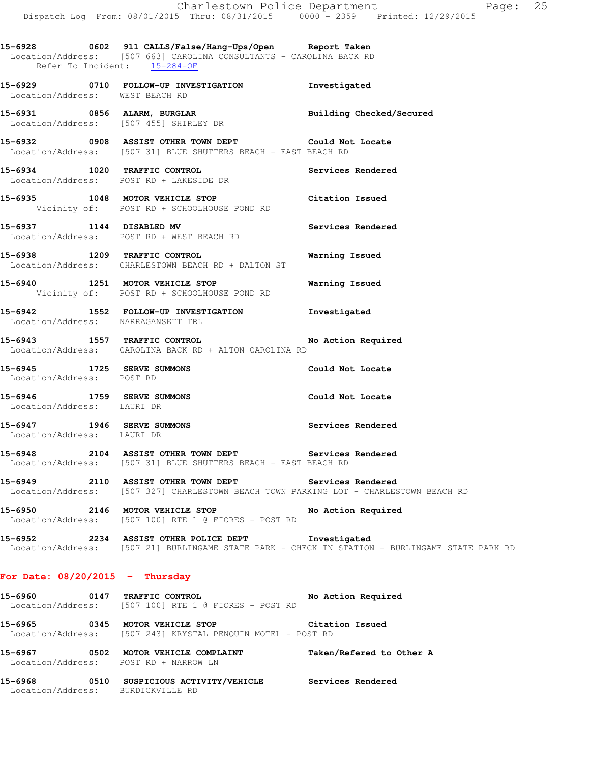**15-6928 0602 911 CALLS/False/Hang-Ups/Open Report Taken**  Location/Address: [507 663] CAROLINA CONSULTANTS - CAROLINA BACK RD Refer To Incident: 15-284-OF

**15-6929 0710 FOLLOW-UP INVESTIGATION Investigated**  Location/Address: WEST BEACH RD

**15-6931 0856 ALARM, BURGLAR Building Checked/Secured**  Location/Address: [507 455] SHIRLEY DR

**15-6932 0908 ASSIST OTHER TOWN DEPT Could Not Locate**  Location/Address: [507 31] BLUE SHUTTERS BEACH - EAST BEACH RD

**15-6934 1020 TRAFFIC CONTROL Services Rendered**  Location/Address: POST RD + LAKESIDE DR

**15-6935 1048 MOTOR VEHICLE STOP Citation Issued**  Vicinity of: POST RD + SCHOOLHOUSE POND RD

**15-6937 1144 DISABLED MV Services Rendered**  Location/Address: POST RD + WEST BEACH RD

**15-6938 1209 TRAFFIC CONTROL Warning Issued**  Location/Address: CHARLESTOWN BEACH RD + DALTON ST

**15-6940 1251 MOTOR VEHICLE STOP Warning Issued**  Vicinity of: POST RD + SCHOOLHOUSE POND RD

**15-6942 1552 FOLLOW-UP INVESTIGATION Investigated**  Location/Address: NARRAGANSETT TRL

**15-6943 1557 TRAFFIC CONTROL No Action Required**  Location/Address: CAROLINA BACK RD + ALTON CAROLINA RD

**15-6945 1725 SERVE SUMMONS Could Not Locate**  Location/Address: POST RD

**15-6946 1759 SERVE SUMMONS Could Not Locate**  Location/Address: LAURI DR

**15-6947 1946 SERVE SUMMONS Services Rendered**  Location/Address: LAURI DR

**15-6948 2104 ASSIST OTHER TOWN DEPT Services Rendered**  Location/Address: [507 31] BLUE SHUTTERS BEACH - EAST BEACH RD

**15-6949 2110 ASSIST OTHER TOWN DEPT Services Rendered**  Location/Address: [507 327] CHARLESTOWN BEACH TOWN PARKING LOT - CHARLESTOWN BEACH RD

**15-6950 2146 MOTOR VEHICLE STOP No Action Required**  Location/Address: [507 100] RTE 1 @ FIORES - POST RD

**15-6952 2234 ASSIST OTHER POLICE DEPT Investigated**  Location/Address: [507 21] BURLINGAME STATE PARK - CHECK IN STATION - BURLINGAME STATE PARK RD

## **For Date: 08/20/2015 - Thursday**

**15-6960 0147 TRAFFIC CONTROL No Action Required**  Location/Address: [507 100] RTE 1 @ FIORES - POST RD **15-6965 0345 MOTOR VEHICLE STOP Citation Issued**  Location/Address: [507 243] KRYSTAL PENQUIN MOTEL - POST RD **15-6967 0502 MOTOR VEHICLE COMPLAINT Taken/Refered to Other A**  Location/Address: POST RD + NARROW LN

**15-6968 0510 SUSPICIOUS ACTIVITY/VEHICLE Services Rendered**  Location/Address: BURDICKVILLE RD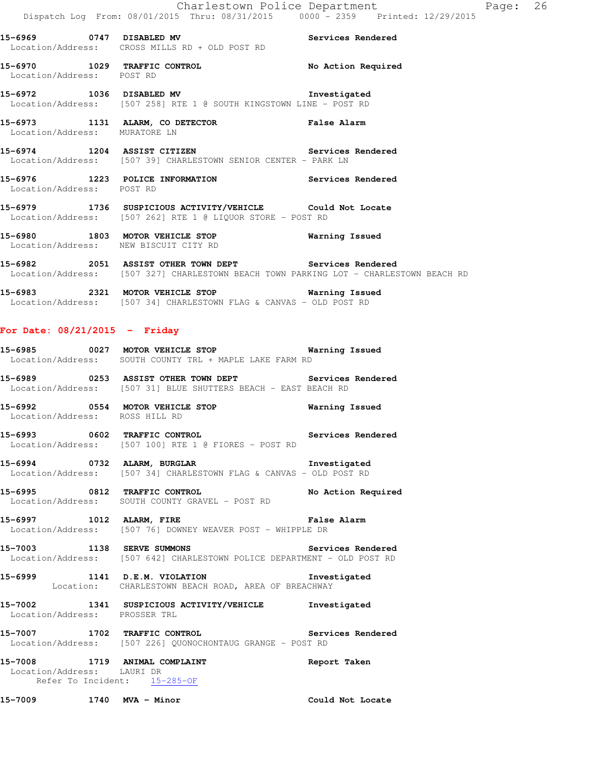**15-6969 0747 DISABLED MV Services Rendered**  Location/Address: CROSS MILLS RD + OLD POST RD **15-6970 1029 TRAFFIC CONTROL No Action Required**  Location/Address: POST RD **15-6972 1036 DISABLED MV Investigated**  Location/Address: [507 258] RTE 1 @ SOUTH KINGSTOWN LINE - POST RD **15-6973 1131 ALARM, CO DETECTOR False Alarm**  Location/Address: MURATORE LN **15-6974 1204 ASSIST CITIZEN Services Rendered**  Location/Address: [507 39] CHARLESTOWN SENIOR CENTER - PARK LN **15-6976 1223 POLICE INFORMATION Services Rendered**  Location/Address: POST RD **15-6979 1736 SUSPICIOUS ACTIVITY/VEHICLE Could Not Locate**  Location/Address: [507 262] RTE 1 @ LIQUOR STORE - POST RD

**15-6980 1803 MOTOR VEHICLE STOP Warning Issued**  Location/Address: NEW BISCUIT CITY RD

**15-6982 2051 ASSIST OTHER TOWN DEPT Services Rendered**  Location/Address: [507 327] CHARLESTOWN BEACH TOWN PARKING LOT - CHARLESTOWN BEACH RD

**15-6983 2321 MOTOR VEHICLE STOP Warning Issued**  Location/Address: [507 34] CHARLESTOWN FLAG & CANVAS - OLD POST RD

## **For Date: 08/21/2015 - Friday**

**15-6985 0027 MOTOR VEHICLE STOP Warning Issued**  Location/Address: SOUTH COUNTY TRL + MAPLE LAKE FARM RD

**15-6989 0253 ASSIST OTHER TOWN DEPT Services Rendered**  Location/Address: [507 31] BLUE SHUTTERS BEACH - EAST BEACH RD

**15-6992 0554 MOTOR VEHICLE STOP Warning Issued**  Location/Address: ROSS HILL RD

**15-6993 0602 TRAFFIC CONTROL Services Rendered**  Location/Address: [507 100] RTE 1 @ FIORES - POST RD

**15-6994 0732 ALARM, BURGLAR Investigated**  Location/Address: [507 34] CHARLESTOWN FLAG & CANVAS - OLD POST RD

**15-6995 0812 TRAFFIC CONTROL No Action Required**  Location/Address: SOUTH COUNTY GRAVEL - POST RD

**15-6997 1012 ALARM, FIRE False Alarm**  Location/Address: [507 76] DOWNEY WEAVER POST - WHIPPLE DR

**15-7003 1138 SERVE SUMMONS Services Rendered**  Location/Address: [507 642] CHARLESTOWN POLICE DEPARTMENT - OLD POST RD

**15-6999 1141 D.E.M. VIOLATION Investigated**  Location: CHARLESTOWN BEACH ROAD, AREA OF BREACHWAY

**15-7002 1341 SUSPICIOUS ACTIVITY/VEHICLE Investigated**  Location/Address: PROSSER TRL

**15-7007 1702 TRAFFIC CONTROL Services Rendered**  Location/Address: [507 226] QUONOCHONTAUG GRANGE - POST RD

**15-7008 1719 ANIMAL COMPLAINT Report Taken**  Location/Address: LAURI DR Refer To Incident: 15-285-OF

**15-7009 1740 MVA - Minor Could Not Locate**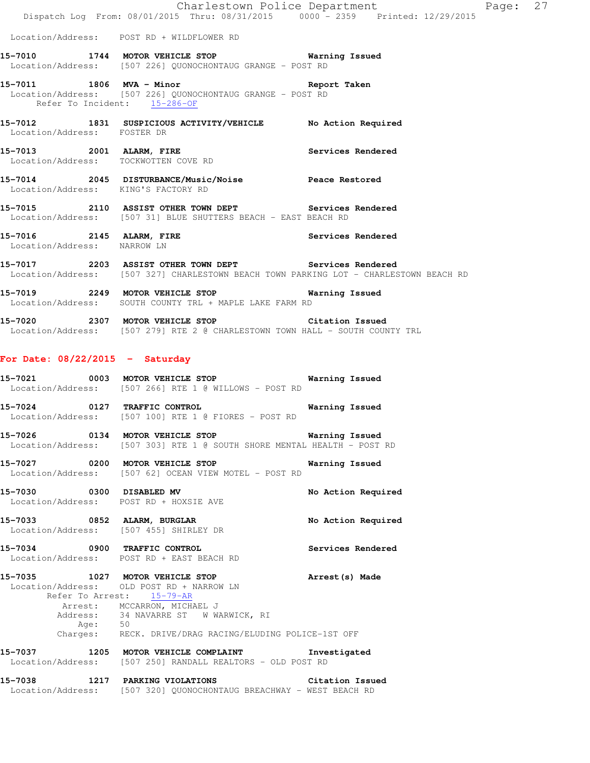|                                     |                                                                                                                                                | Charlestown Police Department Page: 27 |  |
|-------------------------------------|------------------------------------------------------------------------------------------------------------------------------------------------|----------------------------------------|--|
|                                     | Dispatch Log From: 08/01/2015 Thru: 08/31/2015 0000 - 2359 Printed: 12/29/2015                                                                 |                                        |  |
|                                     | Location/Address: POST RD + WILDFLOWER RD                                                                                                      |                                        |  |
|                                     | 15-7010 1744 MOTOR VEHICLE STOP 6 Warning Issued<br>Location/Address: [507 226] QUONOCHONTAUG GRANGE - POST RD                                 |                                        |  |
|                                     | 15-7011 1806 MVA - Minor<br>Location/Address: [507 226] QUONOCHONTAUG GRANGE - POST RD<br>Refer To Incident: 15-286-OF                         | Report Taken                           |  |
| Location/Address: FOSTER DR         | 15-7012 1831 SUSPICIOUS ACTIVITY/VEHICLE No Action Required                                                                                    |                                        |  |
|                                     | 15-7013 2001 ALARM, FIRE<br>Location/Address: TOCKWOTTEN COVE RD                                                                               | Services Rendered                      |  |
| Location/Address: KING'S FACTORY RD | 15-7014 2045 DISTURBANCE/Music/Noise Peace Restored                                                                                            |                                        |  |
|                                     | 15-7015 2110 ASSIST OTHER TOWN DEPT Services Rendered<br>Location/Address: [507 31] BLUE SHUTTERS BEACH - EAST BEACH RD                        |                                        |  |
| Location/Address: NARROW LN         | 15-7016 2145 ALARM, FIRE                                                                                                                       | Services Rendered                      |  |
|                                     | 15-7017 2203 ASSIST OTHER TOWN DEPT Services Rendered<br>Location/Address: [507 327] CHARLESTOWN BEACH TOWN PARKING LOT - CHARLESTOWN BEACH RD |                                        |  |
|                                     | Location/Address: SOUTH COUNTY TRL + MAPLE LAKE FARM RD                                                                                        |                                        |  |
|                                     | 15-7020 2307 MOTOR VEHICLE STOP 6 Citation Issued<br>Location/Address: [507 279] RTE 2 @ CHARLESTOWN TOWN HALL - SOUTH COUNTY TRL              |                                        |  |
| For Date: $08/22/2015$ - Saturday   |                                                                                                                                                |                                        |  |
|                                     | 15-7021 0003 MOTOR VEHICLE STOP 6 Warning Issued<br>Location/Address: [507 266] RTE 1 @ WILLOWS - POST RD                                      |                                        |  |
|                                     | 15-7024 0127 TRAFFIC CONTROL<br>Location/Address: [507 100] RTE 1 @ FIORES - POST RD                                                           | Warning Issued                         |  |
|                                     | 15-7026 0134 MOTOR VEHICLE STOP 6 Warning Issued<br>Location/Address: [507 303] RTE 1 @ SOUTH SHORE MENTAL HEALTH - POST RD                    |                                        |  |
|                                     | 15-7027 0200 MOTOR VEHICLE STOP                                                                                                                | Warning Issued                         |  |

 Location/Address: [507 455] SHIRLEY DR **15-7034 0900 TRAFFIC CONTROL Services Rendered**  Location/Address: POST RD + EAST BEACH RD **15-7035 1027 MOTOR VEHICLE STOP Arrest(s) Made**  Location/Address: OLD POST RD + NARROW LN

Location/Address: [507 62] OCEAN VIEW MOTEL - POST RD

Location/Address: POST RD + HOXSIE AVE

 Refer To Arrest: 15-79-AR Arrest: MCCARRON, MICHAEL J Address: 34 NAVARRE ST W WARWICK, RI Age: 50 Charges: RECK. DRIVE/DRAG RACING/ELUDING POLICE-1ST OFF

15-7030 0300 DISABLED MV **No Action Required** 

**15-7033 0852 ALARM, BURGLAR No Action Required** 

**15-7037 1205 MOTOR VEHICLE COMPLAINT Investigated**  Location/Address: [507 250] RANDALL REALTORS - OLD POST RD

**15-7038 1217 PARKING VIOLATIONS Citation Issued**  Location/Address: [507 320] QUONOCHONTAUG BREACHWAY - WEST BEACH RD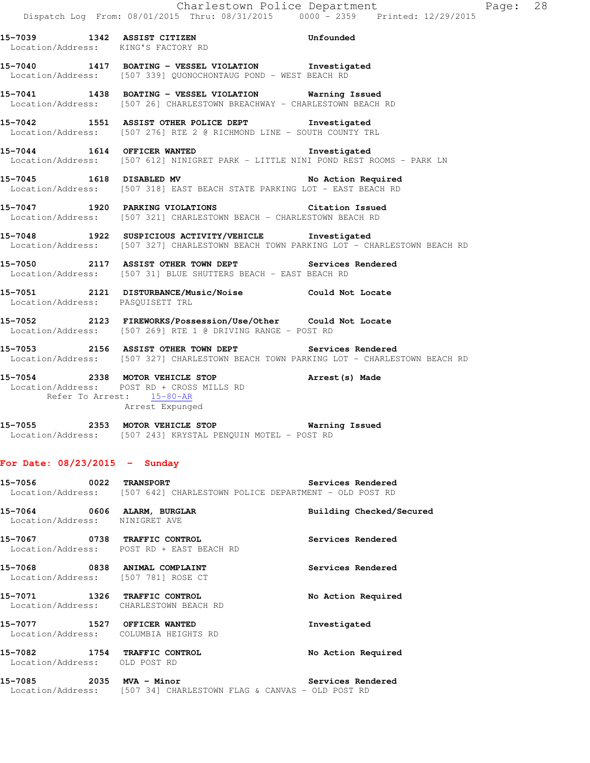**15-7039 1342 ASSIST CITIZEN Unfounded**  Location/Address: KING'S FACTORY RD **15-7040 1417 BOATING - VESSEL VIOLATION Investigated**  Location/Address: [507 339] QUONOCHONTAUG POND - WEST BEACH RD **15-7041 1438 BOATING - VESSEL VIOLATION Warning Issued**  Location/Address: [507 26] CHARLESTOWN BREACHWAY - CHARLESTOWN BEACH RD **15-7042 1551 ASSIST OTHER POLICE DEPT Investigated**  Location/Address: [507 276] RTE 2 @ RICHMOND LINE - SOUTH COUNTY TRL **15-7044 1614 OFFICER WANTED Investigated**  Location/Address: [507 612] NINIGRET PARK - LITTLE NINI POND REST ROOMS - PARK LN **15-7045 1618 DISABLED MV No Action Required**  Location/Address: [507 318] EAST BEACH STATE PARKING LOT - EAST BEACH RD **15-7047 1920 PARKING VIOLATIONS Citation Issued**  Location/Address: [507 321] CHARLESTOWN BEACH - CHARLESTOWN BEACH RD **15-7048 1922 SUSPICIOUS ACTIVITY/VEHICLE Investigated**  Location/Address: [507 327] CHARLESTOWN BEACH TOWN PARKING LOT - CHARLESTOWN BEACH RD **15-7050 2117 ASSIST OTHER TOWN DEPT Services Rendered**  Location/Address: [507 31] BLUE SHUTTERS BEACH - EAST BEACH RD **15-7051 2121 DISTURBANCE/Music/Noise Could Not Locate**  Location/Address: PASQUISETT TRL **15-7052 2123 FIREWORKS/Possession/Use/Other Could Not Locate**  Location/Address: [507 269] RTE 1 @ DRIVING RANGE - POST RD **15-7053 2156 ASSIST OTHER TOWN DEPT Services Rendered**  Location/Address: [507 327] CHARLESTOWN BEACH TOWN PARKING LOT - CHARLESTOWN BEACH RD **15-7054 2338 MOTOR VEHICLE STOP Arrest(s) Made**  Location/Address: POST RD + CROSS MILLS RD Refer To Arrest: 15-80-AR Arrest Expunged

## **15-7055 2353 MOTOR VEHICLE STOP Warning Issued**  Location/Address: [507 243] KRYSTAL PENQUIN MOTEL - POST RD

## **For Date: 08/23/2015 - Sunday**

|                                                                      | 15-7056 0022 TRANSPORT<br>Location/Address: [507 642] CHARLESTOWN POLICE DEPARTMENT - OLD POST RD | Services Rendered        |
|----------------------------------------------------------------------|---------------------------------------------------------------------------------------------------|--------------------------|
| 15-7064 0606 ALARM, BURGLAR<br>Location/Address: NINIGRET AVE        |                                                                                                   | Building Checked/Secured |
| 15-7067  0738 TRAFFIC CONTROL                                        | Location/Address: POST RD + EAST BEACH RD                                                         | Services Rendered        |
| 15-7068 0838 ANIMAL COMPLAINT<br>Location/Address: [507 781] ROSE CT |                                                                                                   | Services Rendered        |
| 15-7071 1326 TRAFFIC CONTROL                                         | Location/Address: CHARLESTOWN BEACH RD                                                            | No Action Required       |
| 15-7077 1527 OFFICER WANTED                                          | Location/Address: COLUMBIA HEIGHTS RD                                                             | Investigated             |
| 15-7082 1754 TRAFFIC CONTROL<br>Location/Address: OLD POST RD        |                                                                                                   | No Action Required       |
| Location/Address:                                                    | [507 34] CHARLESTOWN FLAG & CANVAS - OLD POST RD                                                  | Services Rendered        |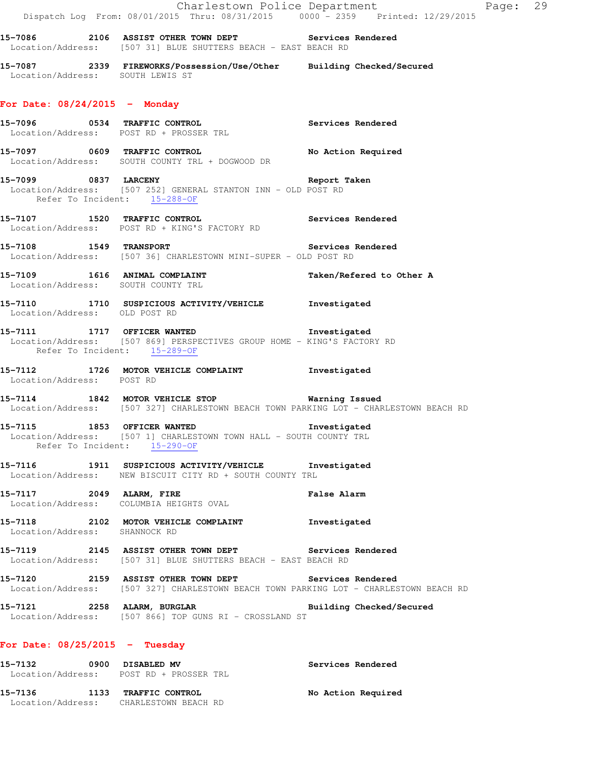Charlestown Police Department Fage: 29 Dispatch Log From: 08/01/2015 Thru: 08/31/2015 0000 - 2359 Printed: 12/29/2015 **15-7086 2106 ASSIST OTHER TOWN DEPT Services Rendered**  Location/Address: [507 31] BLUE SHUTTERS BEACH - EAST BEACH RD **15-7087 2339 FIREWORKS/Possession/Use/Other Building Checked/Secured**  Location/Address: SOUTH LEWIS ST **For Date: 08/24/2015 - Monday 15-7096 0534 TRAFFIC CONTROL Services Rendered**  Location/Address: POST RD + PROSSER TRL **15-7097 0609 TRAFFIC CONTROL No Action Required**  Location/Address: SOUTH COUNTY TRL + DOGWOOD DR **15-7099 0837 LARCENY Report Taken**  Location/Address: [507 252] GENERAL STANTON INN - OLD POST RD Refer To Incident: 15-288-OF **15-7107 1520 TRAFFIC CONTROL Services Rendered**  Location/Address: POST RD + KING'S FACTORY RD **15-7108 1549 TRANSPORT Services Rendered**  Location/Address: [507 36] CHARLESTOWN MINI-SUPER - OLD POST RD 15-7109 1616 ANIMAL COMPLAINT **Taken/Refered to Other A**  Location/Address: SOUTH COUNTY TRL **15-7110 1710 SUSPICIOUS ACTIVITY/VEHICLE Investigated**  Location/Address: OLD POST RD **15-7111 1717 OFFICER WANTED Investigated**  Location/Address: [507 869] PERSPECTIVES GROUP HOME - KING'S FACTORY RD Refer To Incident: 15-289-OF **15-7112 1726 MOTOR VEHICLE COMPLAINT Investigated**  Location/Address: POST RD **15-7114 1842 MOTOR VEHICLE STOP Warning Issued**  Location/Address: [507 327] CHARLESTOWN BEACH TOWN PARKING LOT - CHARLESTOWN BEACH RD **15-7115 1853 OFFICER WANTED Investigated**  Location/Address: [507 1] CHARLESTOWN TOWN HALL - SOUTH COUNTY TRL Refer To Incident: 15-290-OF **15-7116 1911 SUSPICIOUS ACTIVITY/VEHICLE Investigated**  Location/Address: NEW BISCUIT CITY RD + SOUTH COUNTY TRL **15-7117 2049 ALARM, FIRE False Alarm**  Location/Address: COLUMBIA HEIGHTS OVAL **15-7118 2102 MOTOR VEHICLE COMPLAINT Investigated**  Location/Address: SHANNOCK RD **15-7119 2145 ASSIST OTHER TOWN DEPT Services Rendered**  Location/Address: [507 31] BLUE SHUTTERS BEACH - EAST BEACH RD **15-7120 2159 ASSIST OTHER TOWN DEPT Services Rendered**  Location/Address: [507 327] CHARLESTOWN BEACH TOWN PARKING LOT - CHARLESTOWN BEACH RD **15-7121 2258 ALARM, BURGLAR Building Checked/Secured**  Location/Address: [507 866] TOP GUNS RI - CROSSLAND ST **For Date: 08/25/2015 - Tuesday 15-7132 0900 DISABLED MV Services Rendered** 

 Location/Address: POST RD + PROSSER TRL 15-7136 1133 TRAFFIC CONTROL **No Action Required** Location/Address: CHARLESTOWN BEACH RD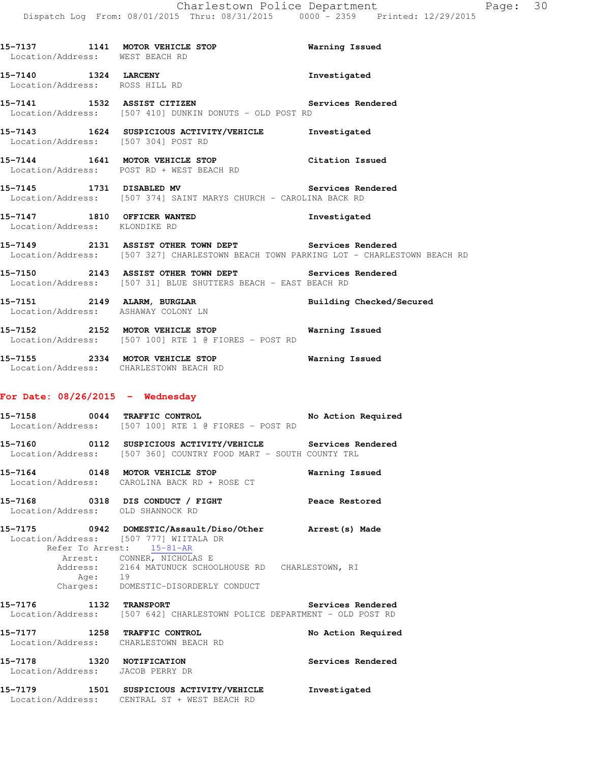| Location/Address: WEST BEACH RD                               | 15-7137 1141 MOTOR VEHICLE STOP                                                                                                                | <b>Warning Issued</b> |
|---------------------------------------------------------------|------------------------------------------------------------------------------------------------------------------------------------------------|-----------------------|
|                                                               | 15-7140 1324 LARCENY<br>Location/Address: ROSS HILL RD                                                                                         | Investigated          |
|                                                               | 15-7141 1532 ASSIST CITIZEN Services Rendered<br>Location/Address: [507 410] DUNKIN DONUTS - OLD POST RD                                       |                       |
|                                                               | 15-7143 1624 SUSPICIOUS ACTIVITY/VEHICLE Investigated<br>Location/Address: [507 304] POST RD                                                   |                       |
|                                                               | 15-7144 1641 MOTOR VEHICLE STOP Citation Issued<br>Location/Address: POST RD + WEST BEACH RD                                                   |                       |
|                                                               | 15-7145 1731 DISABLED MV Services Rendered<br>Location/Address: [507 374] SAINT MARYS CHURCH - CAROLINA BACK RD                                |                       |
|                                                               | 15-7147 1810 OFFICER WANTED<br>Location/Address: KLONDIKE RD                                                                                   | Investigated          |
|                                                               | 15-7149 2131 ASSIST OTHER TOWN DEPT Services Rendered<br>Location/Address: [507 327] CHARLESTOWN BEACH TOWN PARKING LOT - CHARLESTOWN BEACH RD |                       |
|                                                               | 15-7150 2143 ASSIST OTHER TOWN DEPT Services Rendered<br>Location/Address: [507 31] BLUE SHUTTERS BEACH - EAST BEACH RD                        |                       |
|                                                               | Location/Address: ASHAWAY COLONY LN                                                                                                            |                       |
|                                                               | 15-7152 2152 MOTOR VEHICLE STOP 6 Warning Issued<br>Location/Address: [507 100] RTE 1 @ FIORES - POST RD                                       |                       |
|                                                               | 15-7155 2334 MOTOR VEHICLE STOP 6 Warning Issued<br>Location/Address: CHARLESTOWN BEACH RD                                                     |                       |
| For Date: $08/26/2015$ - Wednesday                            |                                                                                                                                                |                       |
|                                                               | -<br>15-7158 15-7158 0044 TRAFFIC CONTROL 15-7158 No Action Required<br>Location/Address: [507 100] RTE 1 @ FIORES - POST RD                   |                       |
|                                                               | 15-7160 0112 SUSPICIOUS ACTIVITY/VEHICLE Services Rendered<br>Location/Address: [507 360] COUNTRY FOOD MART - SOUTH COUNTY TRL                 |                       |
|                                                               | 15-7164 0148 MOTOR VEHICLE STOP<br>Location/Address: CAROLINA BACK RD + ROSE CT                                                                | Warning Issued        |
|                                                               | 15-7168 0318 DIS CONDUCT / FIGHT<br>Location/Address: OLD SHANNOCK RD                                                                          | Peace Restored        |
|                                                               | 15-7175 0942 DOMESTIC/Assault/Diso/Other Arrest(s) Made<br>Location/Address: [507 777] WIITALA DR<br>Refer To Arrest: 15-81-AR                 |                       |
|                                                               | Arrest: CONNER, NICHOLAS E<br>Address: 2164 MATUNUCK SCHOOLHOUSE RD CHARLESTOWN, RI<br>Age: 19<br>Charges: DOMESTIC-DISORDERLY CONDUCT         |                       |
| 15-7176 1132 TRANSPORT                                        | Location/Address: [507 642] CHARLESTOWN POLICE DEPARTMENT - OLD POST RD                                                                        | Services Rendered     |
|                                                               | 15-7177 1258 TRAFFIC CONTROL<br>Location/Address: CHARLESTOWN BEACH RD                                                                         | No Action Required    |
| 15-7178 1320 NOTIFICATION<br>Location/Address: JACOB PERRY DR |                                                                                                                                                | Services Rendered     |
|                                                               |                                                                                                                                                |                       |

**15-7179 1501 SUSPICIOUS ACTIVITY/VEHICLE Investigated**  Location/Address: CENTRAL ST + WEST BEACH RD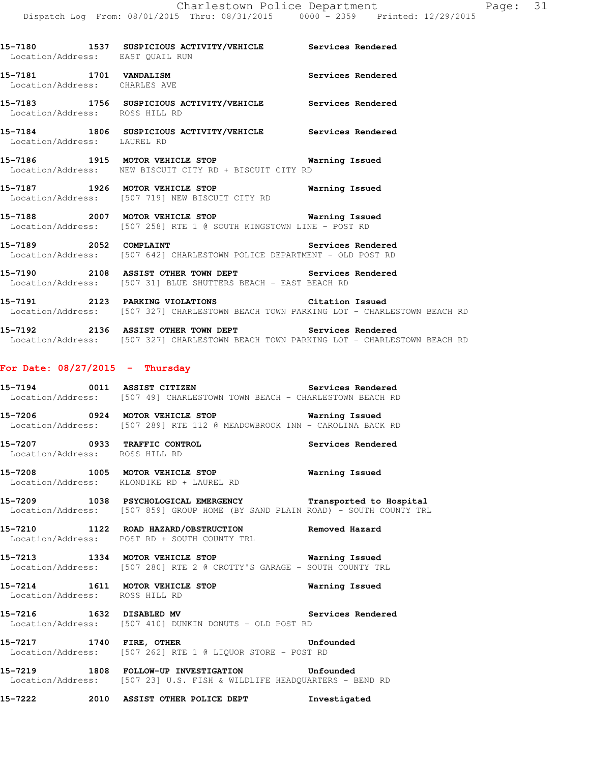|  |  | From: 08/01/2015 Thru: 08/31/2015 | 0000 - 2359 | Printed: 12/29 |  |
|--|--|-----------------------------------|-------------|----------------|--|
|  |  |                                   |             |                |  |

| Location/Address: EAST OUAIL RUN                        | 15-7180 1537 SUSPICIOUS ACTIVITY/VEHICLE Services Rendered                                                  |                   |
|---------------------------------------------------------|-------------------------------------------------------------------------------------------------------------|-------------------|
| 15-7181 1701 VANDALISM<br>Location/Address: CHARLES AVE |                                                                                                             | Services Rendered |
| Location/Address: ROSS HILL RD                          | 15-7183 1756 SUSPICIOUS ACTIVITY/VEHICLE Services Rendered                                                  |                   |
| Location/Address: LAUREL RD                             | 15-7184 1806 SUSPICIOUS ACTIVITY/VEHICLE Services Rendered                                                  |                   |
|                                                         | 15-7186 1915 MOTOR VEHICLE STOP 6 Warning Issued<br>Location/Address: NEW BISCUIT CITY RD + BISCUIT CITY RD |                   |
|                                                         | 15-7187 1926 MOTOR VEHICLE STOP<br>Location/Address: [507 719] NEW BISCUIT CITY RD                          | Warning Issued    |
|                                                         | 15-7188 2007 MOTOR VEHICLE STOP<br>Location/Address: [507 258] RTE 1 @ SOUTH KINGSTOWN LINE - POST RD       | Warning Issued    |
| 15-7189 2052 COMPLAINT                                  | Services Rendered<br>  Location/Address: [507 642] CHARLESTOWN POLICE DEPARTMENT - OLD POST RD              |                   |

**15-7190 2108 ASSIST OTHER TOWN DEPT Services Rendered**  Location/Address: [507 31] BLUE SHUTTERS BEACH - EAST BEACH RD

**15-7191 2123 PARKING VIOLATIONS Citation Issued**  Location/Address: [507 327] CHARLESTOWN BEACH TOWN PARKING LOT - CHARLESTOWN BEACH RD

**15-7192 2136 ASSIST OTHER TOWN DEPT Services Rendered**  Location/Address: [507 327] CHARLESTOWN BEACH TOWN PARKING LOT - CHARLESTOWN BEACH RD

## **For Date: 08/27/2015 - Thursday**

- **15-7194 0011 ASSIST CITIZEN Services Rendered**  Location/Address: [507 49] CHARLESTOWN TOWN BEACH - CHARLESTOWN BEACH RD
- **15-7206 0924 MOTOR VEHICLE STOP Warning Issued**  Location/Address: [507 289] RTE 112 @ MEADOWBROOK INN - CAROLINA BACK RD
- **15-7207 0933 TRAFFIC CONTROL Services Rendered**  Location/Address: ROSS HILL RD
- **15-7208 1005 MOTOR VEHICLE STOP Warning Issued**  Location/Address: KLONDIKE RD + LAUREL RD
- **15-7209 1038 PSYCHOLOGICAL EMERGENCY Transported to Hospital**  Location/Address: [507 859] GROUP HOME (BY SAND PLAIN ROAD) - SOUTH COUNTY TRL
- **15-7210 1122 ROAD HAZARD/OBSTRUCTION Removed Hazard**  Location/Address: POST RD + SOUTH COUNTY TRL
- **15-7213 1334 MOTOR VEHICLE STOP Warning Issued**  Location/Address: [507 280] RTE 2 @ CROTTY'S GARAGE - SOUTH COUNTY TRL
- **15-7214 1611 MOTOR VEHICLE STOP Warning Issued**  Location/Address: ROSS HILL RD
- **15-7216 1632 DISABLED MV Services Rendered**  Location/Address: [507 410] DUNKIN DONUTS - OLD POST RD
- **15-7217 1740 FIRE, OTHER Unfounded**  Location/Address: [507 262] RTE 1 @ LIQUOR STORE - POST RD
- **15-7219 1808 FOLLOW-UP INVESTIGATION Unfounded**  Location/Address: [507 23] U.S. FISH & WILDLIFE HEADQUARTERS - BEND RD
- **15-7222 2010 ASSIST OTHER POLICE DEPT Investigated**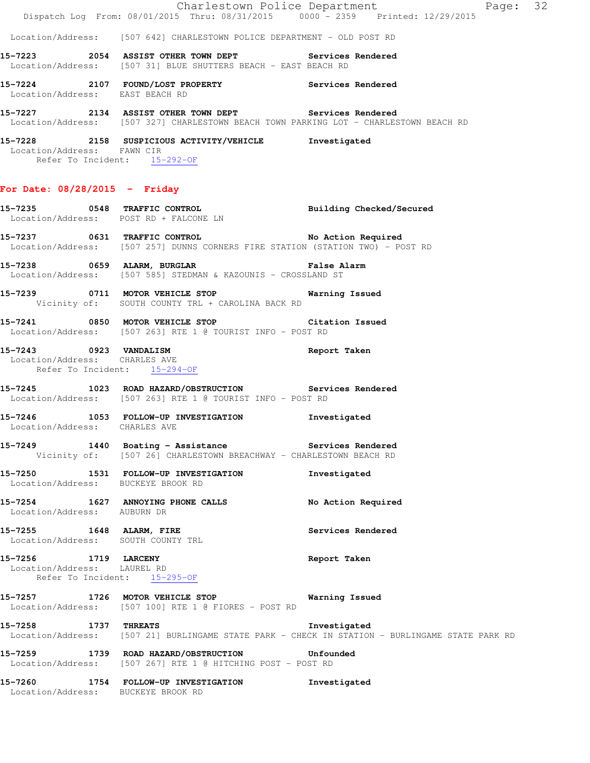|                 | Page: 32<br>Charlestown Police Department                                      |                   |  |  |  |
|-----------------|--------------------------------------------------------------------------------|-------------------|--|--|--|
|                 | Dispatch Log From: 08/01/2015 Thru: 08/31/2015 0000 - 2359 Printed: 12/29/2015 |                   |  |  |  |
|                 | Location/Address: [507 642] CHARLESTOWN POLICE DEPARTMENT - OLD POST RD        |                   |  |  |  |
| 15–7223<br>2054 | <b>ASSIST OTHER TOWN DEPT</b>                                                  | Services Rendered |  |  |  |
|                 | Location/Address: [507 31] BLUE SHUTTERS BEACH - EAST BEACH RD                 |                   |  |  |  |

**15-7224 2107 FOUND/LOST PROPERTY Services Rendered**  Location/Address: EAST BEACH RD

**15-7227 2134 ASSIST OTHER TOWN DEPT Services Rendered**  Location/Address: [507 327] CHARLESTOWN BEACH TOWN PARKING LOT - CHARLESTOWN BEACH RD

**15-7228 2158 SUSPICIOUS ACTIVITY/VEHICLE Investigated**  Location/Address: FAWN CIR Refer To Incident: 15-292-OF

#### **For Date: 08/28/2015 - Friday**

**15-7235 0548 TRAFFIC CONTROL Building Checked/Secured**  Location/Address: POST RD + FALCONE LN **15-7237 0631 TRAFFIC CONTROL No Action Required**  Location/Address: [507 257] DUNNS CORNERS FIRE STATION (STATION TWO) - POST RD

**15-7238 0659 ALARM, BURGLAR False Alarm**  Location/Address: [507 585] STEDMAN & KAZOUNIS - CROSSLAND ST

**15-7239 0711 MOTOR VEHICLE STOP Warning Issued**  Vicinity of: SOUTH COUNTY TRL + CAROLINA BACK RD

**15-7241 0850 MOTOR VEHICLE STOP Citation Issued**  Location/Address: [507 263] RTE 1 @ TOURIST INFO - POST RD

## **15-7243 0923 VANDALISM Report Taken**  Location/Address: CHARLES AVE Refer To Incident: 15-294-OF

**15-7245 1023 ROAD HAZARD/OBSTRUCTION Services Rendered**  Location/Address: [507 263] RTE 1 @ TOURIST INFO - POST RD

**15-7246 1053 FOLLOW-UP INVESTIGATION Investigated**  Location/Address: CHARLES AVE

**15-7249 1440 Boating - Assistance Services Rendered**  Vicinity of: [507 26] CHARLESTOWN BREACHWAY - CHARLESTOWN BEACH RD

**15-7250 1531 FOLLOW-UP INVESTIGATION Investigated**  Location/Address: BUCKEYE BROOK RD

**15-7254 1627 ANNOYING PHONE CALLS No Action Required**  Location/Address: AUBURN DR

15-7255 1648 ALARM, FIRE **15-7255** Services Rendered Location/Address: SOUTH COUNTY TRL

**15-7256 1719 LARCENY Report Taken**  Location/Address: LAUREL RD Refer To Incident: 15-295-OF

**15-7257 1726 MOTOR VEHICLE STOP Warning Issued**  Location/Address: [507 100] RTE 1 @ FIORES - POST RD

**15-7258 1737 THREATS Investigated**  Location/Address: [507 21] BURLINGAME STATE PARK - CHECK IN STATION - BURLINGAME STATE PARK RD

**15-7259 1739 ROAD HAZARD/OBSTRUCTION Unfounded**  Location/Address: [507 267] RTE 1 @ HITCHING POST - POST RD

**15-7260 1754 FOLLOW-UP INVESTIGATION Investigated**  Location/Address: BUCKEYE BROOK RD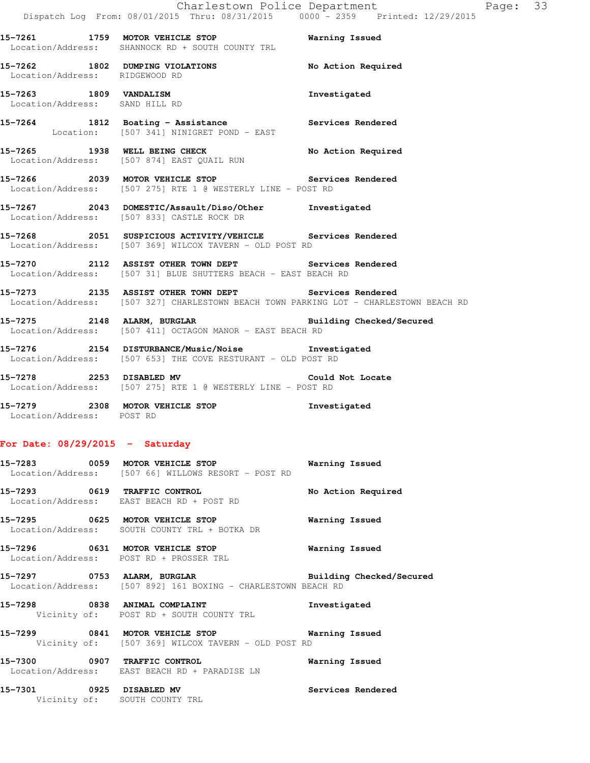**15-7261 1759 MOTOR VEHICLE STOP Warning Issued**  Location/Address: SHANNOCK RD + SOUTH COUNTY TRL

15-7262 1802 DUMPING VIOLATIONS No Action Required Location/Address: RIDGEWOOD RD

**15-7263 1809 VANDALISM Investigated**  Location/Address: SAND HILL RD

**15-7264 1812 Boating - Assistance Services Rendered**  Location: [507 341] NINIGRET POND - EAST

**15-7265 1938 WELL BEING CHECK No Action Required**  Location/Address: [507 874] EAST QUAIL RUN

**15-7266 2039 MOTOR VEHICLE STOP Services Rendered**  Location/Address: [507 275] RTE 1 @ WESTERLY LINE - POST RD

**15-7267 2043 DOMESTIC/Assault/Diso/Other Investigated**  Location/Address: [507 833] CASTLE ROCK DR

**15-7268 2051 SUSPICIOUS ACTIVITY/VEHICLE Services Rendered**  Location/Address: [507 369] WILCOX TAVERN - OLD POST RD

**15-7270 2112 ASSIST OTHER TOWN DEPT Services Rendered**  Location/Address: [507 31] BLUE SHUTTERS BEACH - EAST BEACH RD

**15-7273 2135 ASSIST OTHER TOWN DEPT Services Rendered**  Location/Address: [507 327] CHARLESTOWN BEACH TOWN PARKING LOT - CHARLESTOWN BEACH RD

**15-7275 2148 ALARM, BURGLAR Building Checked/Secured**  Location/Address: [507 411] OCTAGON MANOR - EAST BEACH RD

**15-7276 2154 DISTURBANCE/Music/Noise Investigated**  Location/Address: [507 653] THE COVE RESTURANT - OLD POST RD

**15-7278 2253 DISABLED MV Could Not Locate**  Location/Address: [507 275] RTE 1 @ WESTERLY LINE - POST RD

**15-7279 2308 MOTOR VEHICLE STOP Investigated**  Location/Address: POST RD

## **For Date: 08/29/2015 - Saturday**

**15-7283 0059 MOTOR VEHICLE STOP Warning Issued**  Location/Address: [507 66] WILLOWS RESORT - POST RD **15-7293 0619 TRAFFIC CONTROL No Action Required**  Location/Address: EAST BEACH RD + POST RD

**15-7295 0625 MOTOR VEHICLE STOP Warning Issued**  Location/Address: SOUTH COUNTY TRL + BOTKA DR

**15-7296 0631 MOTOR VEHICLE STOP Warning Issued**  Location/Address: POST RD + PROSSER TRL

**15-7297 0753 ALARM, BURGLAR Building Checked/Secured**  Location/Address: [507 892] 161 BOXING - CHARLESTOWN BEACH RD

**15-7298 0838 ANIMAL COMPLAINT Investigated**  Vicinity of: POST RD + SOUTH COUNTY TRL

**15-7299 0841 MOTOR VEHICLE STOP Warning Issued**  Vicinity of: [507 369] WILCOX TAVERN - OLD POST RD

**15-7300 0907 TRAFFIC CONTROL Warning Issued**  Location/Address: EAST BEACH RD + PARADISE LN

**15-7301 0925 DISABLED MV Services Rendered**  Vicinity of: SOUTH COUNTY TRL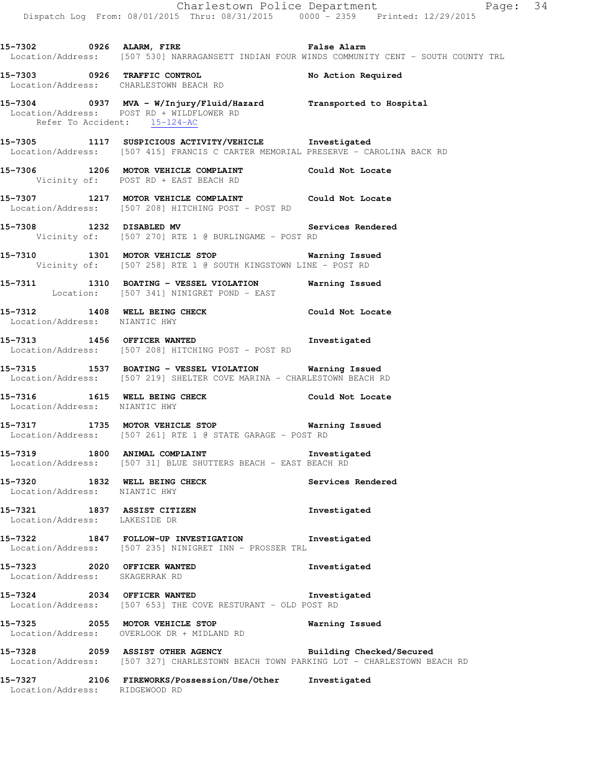|                                                               | Dispatch Log From: 08/01/2015 Thru: 08/31/2015 0000 <sup>-</sup> 2359 Printed: 12/29/2015                                                          | Charlestown Police Department<br>Page: 34                                                    |  |
|---------------------------------------------------------------|----------------------------------------------------------------------------------------------------------------------------------------------------|----------------------------------------------------------------------------------------------|--|
|                                                               | 15-7302 6926 ALARM, FIRE 1998 1999 Palse Alarm                                                                                                     | Location/Address: [507 530] NARRAGANSETT INDIAN FOUR WINDS COMMUNITY CENT - SOUTH COUNTY TRL |  |
|                                                               | 15-7303 0926 TRAFFIC CONTROL<br>Location/Address: CHARLESTOWN BEACH RD                                                                             | No Action Required                                                                           |  |
| Refer To Accident: 15-124-AC                                  | 15-7304 0937 MVA - W/Injury/Fluid/Hazard Transported to Hospital<br>Location/Address: POST RD + WILDFLOWER RD                                      |                                                                                              |  |
|                                                               | 15-7305 1117 SUSPICIOUS ACTIVITY/VEHICLE Tnvestigated<br>Location/Address: [507 415] FRANCIS C CARTER MEMORIAL PRESERVE - CAROLINA BACK RD         |                                                                                              |  |
|                                                               | 15-7306 1206 MOTOR VEHICLE COMPLAINT Could Not Locate<br>Vicinity of: POST RD + EAST BEACH RD                                                      |                                                                                              |  |
|                                                               | 15-7307 1217 MOTOR VEHICLE COMPLAINT Could Not Locate<br>Location/Address: [507 208] HITCHING POST - POST RD                                       |                                                                                              |  |
|                                                               | 15-7308 1232 DISABLED MV Servey Controller Section of: [507 270] RTE 1 @ BURLINGAME - POST RD                                                      | Services Rendered                                                                            |  |
|                                                               | 15-7310 1301 MOTOR VEHICLE STOP Warning Issued<br>Vicinity of: [507 258] RTE 1 @ SOUTH KINGSTOWN LINE - POST RD                                    |                                                                                              |  |
|                                                               | 15-7311 1310 BOATING - VESSEL VIOLATION Warning Issued<br>Location: [507 341] NINIGRET POND - EAST                                                 |                                                                                              |  |
| Location/Address: NIANTIC HWY                                 | 15-7312 1408 WELL BEING CHECK COULD Not Locate                                                                                                     |                                                                                              |  |
|                                                               | 15-7313 1456 OFFICER WANTED<br>Location/Address: [507 208] HITCHING POST - POST RD                                                                 | Investigated                                                                                 |  |
|                                                               | 15-7315 1537 BOATING - VESSEL VIOLATION Warning Issued<br>Location/Address: [507 219] SHELTER COVE MARINA - CHARLESTOWN BEACH RD                   |                                                                                              |  |
| Location/Address: NIANTIC HWY                                 | 15-7316 1615 WELL BEING CHECK Could Not Locate                                                                                                     |                                                                                              |  |
|                                                               | 15-7317 1735 MOTOR VEHICLE STOP<br>Location/Address: [507 261] RTE 1 @ STATE GARAGE - POST RD                                                      | Warning Issued                                                                               |  |
|                                                               | 15-7319 1800 ANIMAL COMPLAINT<br>Location/Address: [507 31] BLUE SHUTTERS BEACH - EAST BEACH RD                                                    | Investigated                                                                                 |  |
| Location/Address: NIANTIC HWY                                 | 15-7320 1832 WELL BEING CHECK                                                                                                                      | Services Rendered                                                                            |  |
| Location/Address: LAKESIDE DR                                 | 15-7321 1837 ASSIST CITIZEN                                                                                                                        | Investigated                                                                                 |  |
|                                                               | 15-7322 1847 FOLLOW-UP INVESTIGATION Investigated<br>Location/Address: [507 235] NINIGRET INN - PROSSER TRL                                        |                                                                                              |  |
| 15-7323 2020 OFFICER WANTED<br>Location/Address: SKAGERRAK RD |                                                                                                                                                    | Investigated                                                                                 |  |
|                                                               | 15-7324 2034 OFFICER WANTED<br>Location/Address: [507 653] THE COVE RESTURANT - OLD POST RD                                                        | Investigated                                                                                 |  |
|                                                               | 15-7325 2055 MOTOR VEHICLE STOP <b>Warning Issued</b><br>Location/Address: OVERLOOK DR + MIDLAND RD                                                |                                                                                              |  |
|                                                               | 15-7328 2059 ASSIST OTHER AGENCY Building Checked/Secured<br>Location/Address: [507 327] CHARLESTOWN BEACH TOWN PARKING LOT - CHARLESTOWN BEACH RD |                                                                                              |  |
|                                                               | 15-7327  2106 FIREWORKS/Possession/Use/Other Investigated                                                                                          |                                                                                              |  |

Location/Address: RIDGEWOOD RD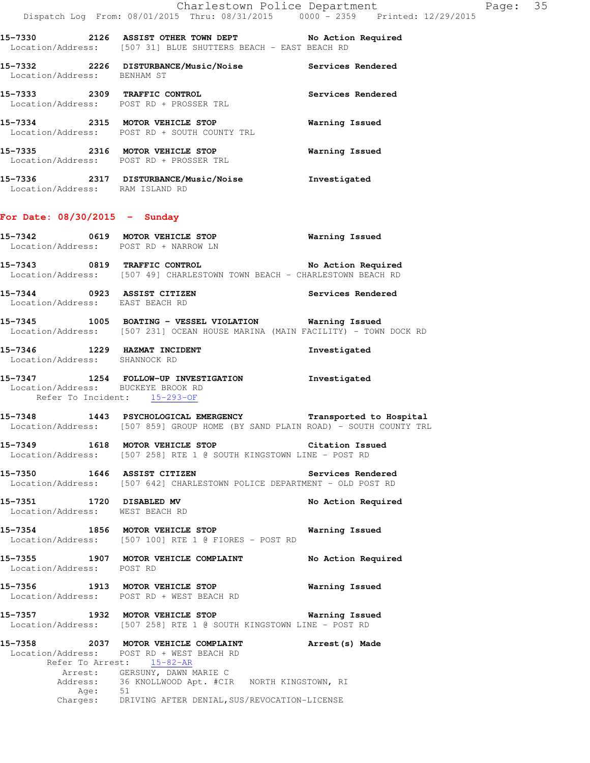**15-7330 2126 ASSIST OTHER TOWN DEPT No Action Required**  Location/Address: [507 31] BLUE SHUTTERS BEACH - EAST BEACH RD

**15-7332 2226 DISTURBANCE/Music/Noise Services Rendered**  Location/Address: BENHAM ST **15-7333 2309 TRAFFIC CONTROL Services Rendered**  Location/Address: POST RD + PROSSER TRL **15-7334 2315 MOTOR VEHICLE STOP Warning Issued** 

 Location/Address: POST RD + SOUTH COUNTY TRL **15-7335 2316 MOTOR VEHICLE STOP Warning Issued**  Location/Address: POST RD + PROSSER TRL

**15-7336 2317 DISTURBANCE/Music/Noise Investigated**  Location/Address: RAM ISLAND RD

#### **For Date: 08/30/2015 - Sunday**

- **15-7342 0619 MOTOR VEHICLE STOP Warning Issued**  Location/Address: POST RD + NARROW LN
- **15-7343 0819 TRAFFIC CONTROL No Action Required**  Location/Address: [507 49] CHARLESTOWN TOWN BEACH - CHARLESTOWN BEACH RD
- **15-7344 0923 ASSIST CITIZEN Services Rendered**  Location/Address: EAST BEACH RD
- **15-7345 1005 BOATING VESSEL VIOLATION Warning Issued**  Location/Address: [507 231] OCEAN HOUSE MARINA (MAIN FACILITY) - TOWN DOCK RD
- **15-7346 1229 HAZMAT INCIDENT Investigated**  Location/Address: SHANNOCK RD
- **15-7347 1254 FOLLOW-UP INVESTIGATION Investigated**  Location/Address: BUCKEYE BROOK RD Refer To Incident: 15-293-OF

**15-7348 1443 PSYCHOLOGICAL EMERGENCY Transported to Hospital**  Location/Address: [507 859] GROUP HOME (BY SAND PLAIN ROAD) - SOUTH COUNTY TRL

**15-7349 1618 MOTOR VEHICLE STOP Citation Issued**  Location/Address: [507 258] RTE 1 @ SOUTH KINGSTOWN LINE - POST RD

**15-7350 1646 ASSIST CITIZEN Services Rendered**  Location/Address: [507 642] CHARLESTOWN POLICE DEPARTMENT - OLD POST RD

**15-7351 1720 DISABLED MV No Action Required**  Location/Address: WEST BEACH RD

- **15-7354 1856 MOTOR VEHICLE STOP Warning Issued**  Location/Address: [507 100] RTE 1 @ FIORES - POST RD
- **15-7355 1907 MOTOR VEHICLE COMPLAINT No Action Required**  Location/Address: POST RD

**15-7356 1913 MOTOR VEHICLE STOP Warning Issued**  Location/Address: POST RD + WEST BEACH RD

**15-7357 1932 MOTOR VEHICLE STOP Warning Issued**  Location/Address: [507 258] RTE 1 @ SOUTH KINGSTOWN LINE - POST RD

**15-7358 2037 MOTOR VEHICLE COMPLAINT Arrest(s) Made**  Location/Address: POST RD + WEST BEACH RD Refer To Arrest: 15-82-AR Arrest: GERSUNY, DAWN MARIE C 36 KNOLLWOOD Apt. #CIR NORTH KINGSTOWN, RI Affer<br>Address: 36<br>Address: 51 Charges: DRIVING AFTER DENIAL, SUS/REVOCATION-LICENSE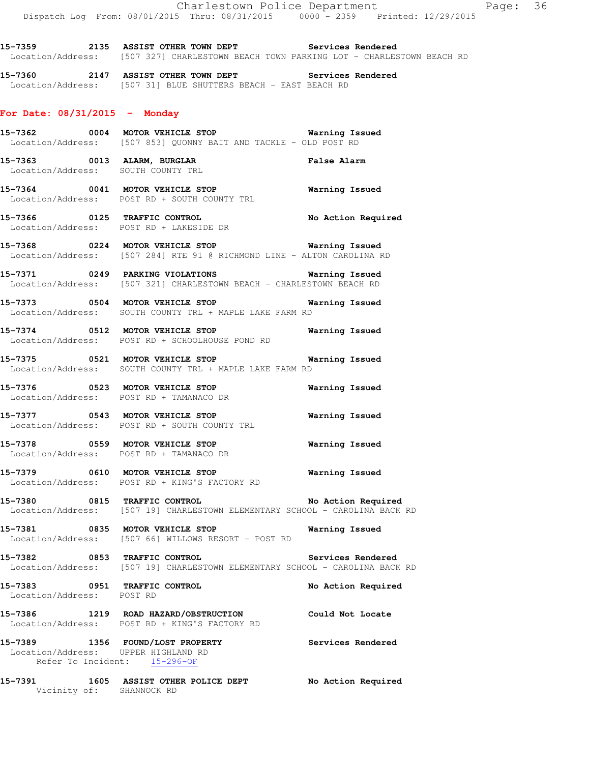**15-7359 2135 ASSIST OTHER TOWN DEPT Services Rendered**  Location/Address: [507 327] CHARLESTOWN BEACH TOWN PARKING LOT - CHARLESTOWN BEACH RD

**15-7360 2147 ASSIST OTHER TOWN DEPT Services Rendered**  Location/Address: [507 31] BLUE SHUTTERS BEACH - EAST BEACH RD

## **For Date: 08/31/2015 - Monday**

**15-7362 0004 MOTOR VEHICLE STOP Warning Issued**  Location/Address: [507 853] QUONNY BAIT AND TACKLE - OLD POST RD

**15-7363 0013 ALARM, BURGLAR False Alarm**  Location/Address: SOUTH COUNTY TRL

**15-7364 0041 MOTOR VEHICLE STOP Warning Issued**  Location/Address: POST RD + SOUTH COUNTY TRL

**15-7366 0125 TRAFFIC CONTROL No Action Required**  Location/Address: POST RD + LAKESIDE DR

**15-7368 0224 MOTOR VEHICLE STOP Warning Issued**  Location/Address: [507 284] RTE 91 @ RICHMOND LINE - ALTON CAROLINA RD

**15-7371 0249 PARKING VIOLATIONS Warning Issued**  Location/Address: [507 321] CHARLESTOWN BEACH - CHARLESTOWN BEACH RD

**15-7373 0504 MOTOR VEHICLE STOP Warning Issued**  Location/Address: SOUTH COUNTY TRL + MAPLE LAKE FARM RD

**15-7374 0512 MOTOR VEHICLE STOP Warning Issued**  Location/Address: POST RD + SCHOOLHOUSE POND RD

**15-7375 0521 MOTOR VEHICLE STOP Warning Issued**  Location/Address: SOUTH COUNTY TRL + MAPLE LAKE FARM RD

**15-7376 0523 MOTOR VEHICLE STOP Warning Issued**  Location/Address: POST RD + TAMANACO DR

**15-7377 0543 MOTOR VEHICLE STOP Warning Issued**  Location/Address: POST RD + SOUTH COUNTY TRL

**15-7378 0559 MOTOR VEHICLE STOP Warning Issued**  Location/Address: POST RD + TAMANACO DR

**15-7379 0610 MOTOR VEHICLE STOP Warning Issued**  Location/Address: POST RD + KING'S FACTORY RD

**15-7380 0815 TRAFFIC CONTROL No Action Required**  Location/Address: [507 19] CHARLESTOWN ELEMENTARY SCHOOL - CAROLINA BACK RD

**15-7381 0835 MOTOR VEHICLE STOP Warning Issued**  Location/Address: [507 66] WILLOWS RESORT - POST RD

**15-7382 0853 TRAFFIC CONTROL Services Rendered**  Location/Address: [507 19] CHARLESTOWN ELEMENTARY SCHOOL - CAROLINA BACK RD

**15-7383 0951 TRAFFIC CONTROL No Action Required**  Location/Address: POST RD

**15-7386 1219 ROAD HAZARD/OBSTRUCTION Could Not Locate**  Location/Address: POST RD + KING'S FACTORY RD

**15-7389 1356 FOUND/LOST PROPERTY Services Rendered**  Location/Address: UPPER HIGHLAND RD Refer To Incident: 15-296-OF

**15-7391 1605 ASSIST OTHER POLICE DEPT No Action Required**  Vicinity of: SHANNOCK RD